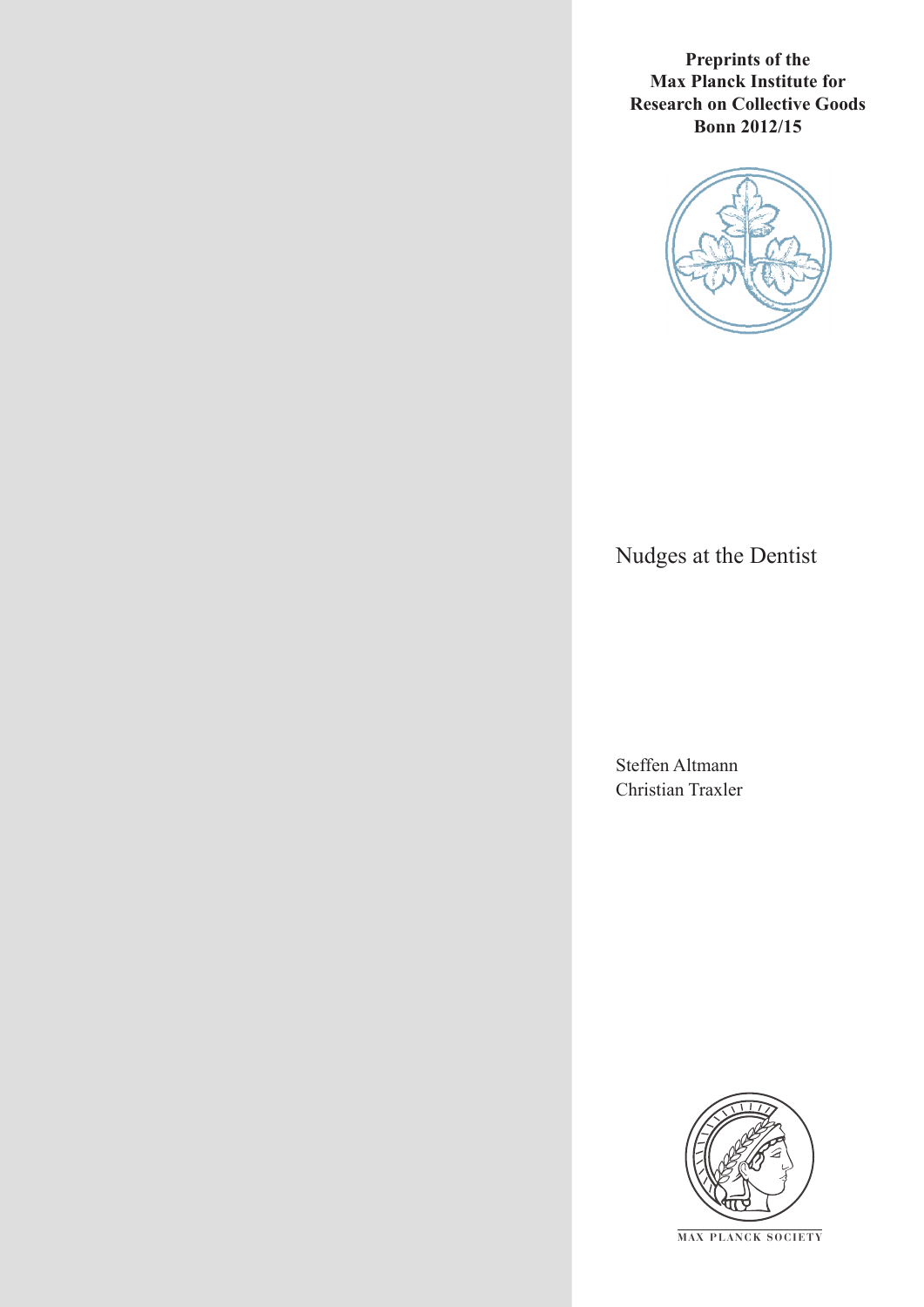**Preprints of the Max Planck Institute for Research on Collective Goods Bonn 2012/15**



# Nudges at the Dentist

Steffen Altmann Christian Traxler



**M AX PLANCK SOCIETY**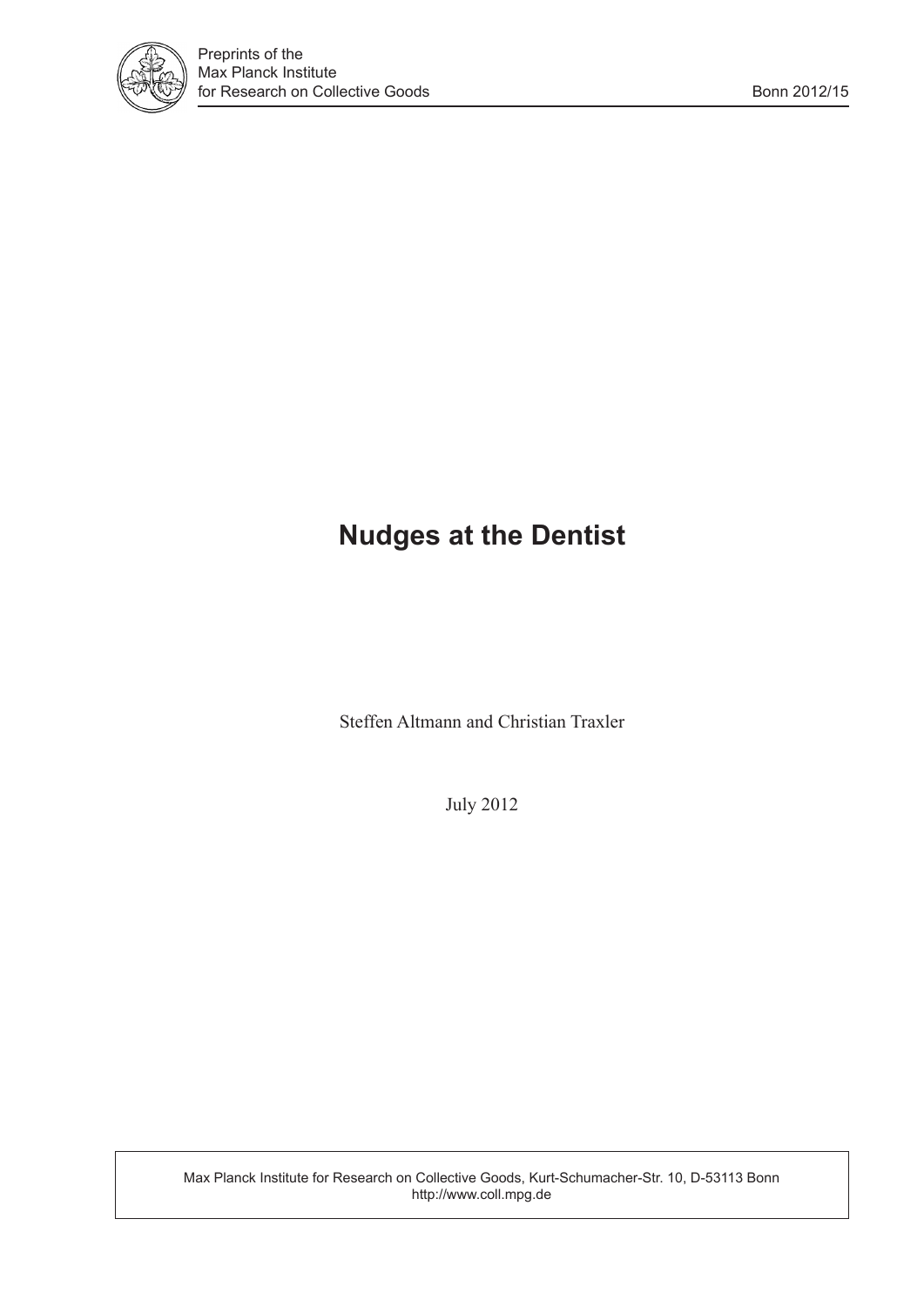

# **Nudges at the Dentist**

Steffen Altmann and Christian Traxler

July 2012

Max Planck Institute for Research on Collective Goods, Kurt-Schumacher-Str. 10, D-53113 Bonn http://www.coll.mpg.de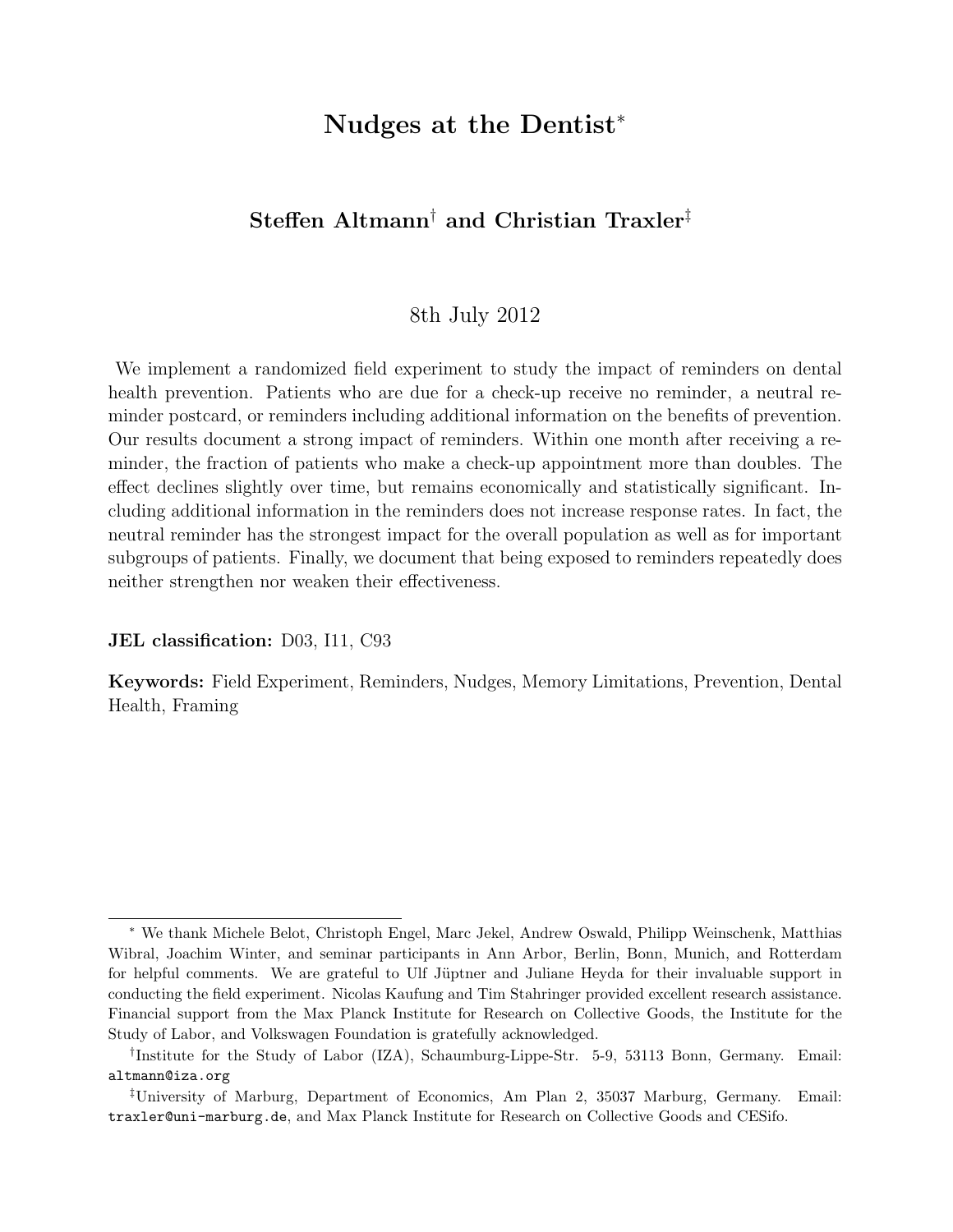# **Nudges at the Dentist***<sup>∗</sup>*

# **Steffen Altmann***†* **and Christian Traxler***‡*

### 8th July 2012

We implement a randomized field experiment to study the impact of reminders on dental health prevention. Patients who are due for a check-up receive no reminder, a neutral reminder postcard, or reminders including additional information on the benefits of prevention. Our results document a strong impact of reminders. Within one month after receiving a reminder, the fraction of patients who make a check-up appointment more than doubles. The effect declines slightly over time, but remains economically and statistically significant. Including additional information in the reminders does not increase response rates. In fact, the neutral reminder has the strongest impact for the overall population as well as for important subgroups of patients. Finally, we document that being exposed to reminders repeatedly does neither strengthen nor weaken their effectiveness.

**JEL classification:** D03, I11, C93

**Keywords:** Field Experiment, Reminders, Nudges, Memory Limitations, Prevention, Dental Health, Framing

*<sup>∗</sup>* We thank Michele Belot, Christoph Engel, Marc Jekel, Andrew Oswald, Philipp Weinschenk, Matthias Wibral, Joachim Winter, and seminar participants in Ann Arbor, Berlin, Bonn, Munich, and Rotterdam for helpful comments. We are grateful to Ulf Jüptner and Juliane Heyda for their invaluable support in conducting the field experiment. Nicolas Kaufung and Tim Stahringer provided excellent research assistance. Financial support from the Max Planck Institute for Research on Collective Goods, the Institute for the Study of Labor, and Volkswagen Foundation is gratefully acknowledged.

*<sup>†</sup>* Institute for the Study of Labor (IZA), Schaumburg-Lippe-Str. 5-9, 53113 Bonn, Germany. Email: altmann@iza.org

*<sup>‡</sup>*University of Marburg, Department of Economics, Am Plan 2, 35037 Marburg, Germany. Email: traxler@uni-marburg.de, and Max Planck Institute for Research on Collective Goods and CESifo.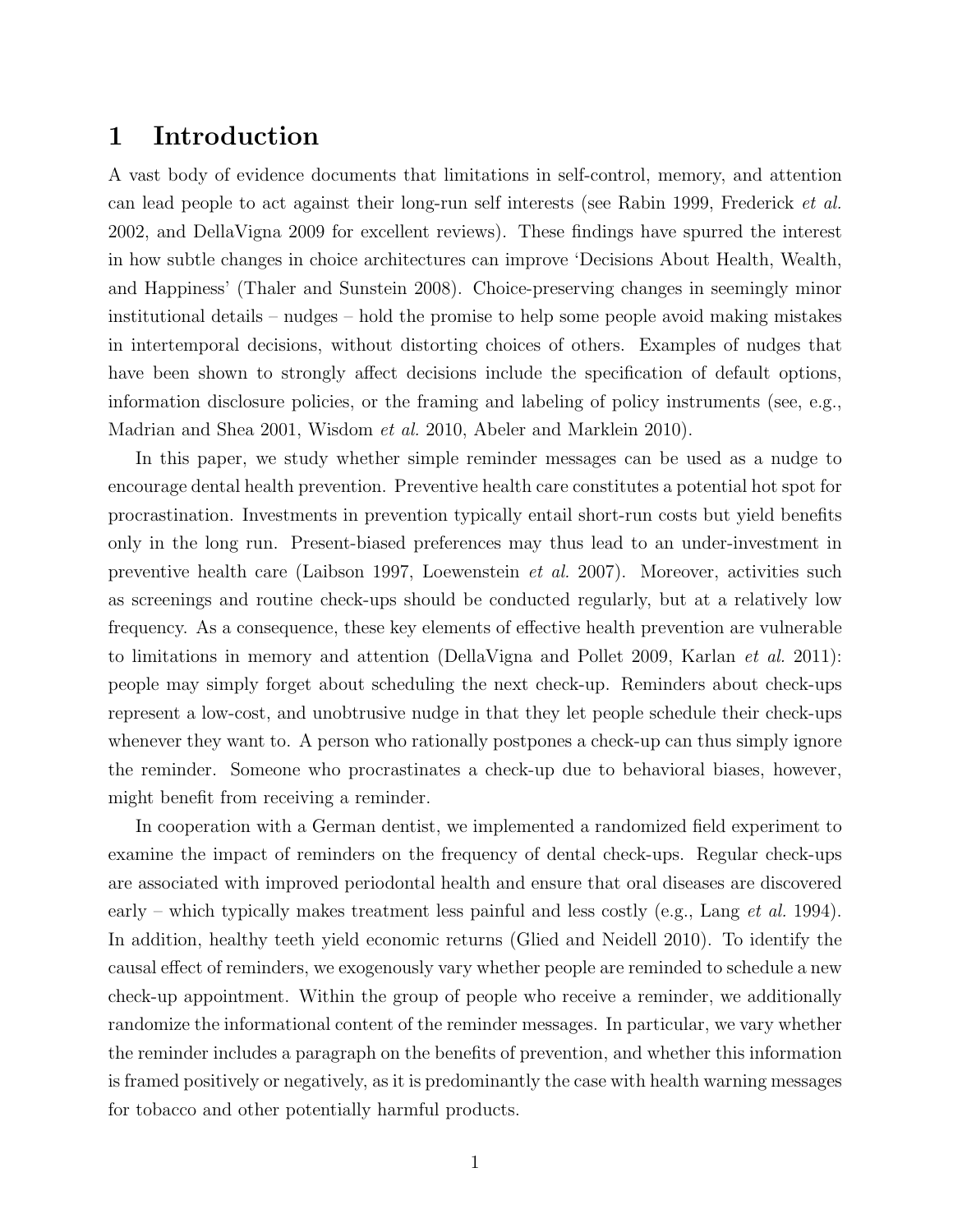## **1 Introduction**

A vast body of evidence documents that limitations in self-control, memory, and attention can lead people to act against their long-run self interests (see Rabin 1999, Frederick *et al.* 2002, and DellaVigna 2009 for excellent reviews). These findings have spurred the interest in how subtle changes in choice architectures can improve 'Decisions About Health, Wealth, and Happiness' (Thaler and Sunstein 2008). Choice-preserving changes in seemingly minor institutional details – nudges – hold the promise to help some people avoid making mistakes in intertemporal decisions, without distorting choices of others. Examples of nudges that have been shown to strongly affect decisions include the specification of default options, information disclosure policies, or the framing and labeling of policy instruments (see, e.g., Madrian and Shea 2001, Wisdom *et al.* 2010, Abeler and Marklein 2010).

In this paper, we study whether simple reminder messages can be used as a nudge to encourage dental health prevention. Preventive health care constitutes a potential hot spot for procrastination. Investments in prevention typically entail short-run costs but yield benefits only in the long run. Present-biased preferences may thus lead to an under-investment in preventive health care (Laibson 1997, Loewenstein *et al.* 2007). Moreover, activities such as screenings and routine check-ups should be conducted regularly, but at a relatively low frequency. As a consequence, these key elements of effective health prevention are vulnerable to limitations in memory and attention (DellaVigna and Pollet 2009, Karlan *et al.* 2011): people may simply forget about scheduling the next check-up. Reminders about check-ups represent a low-cost, and unobtrusive nudge in that they let people schedule their check-ups whenever they want to. A person who rationally postpones a check-up can thus simply ignore the reminder. Someone who procrastinates a check-up due to behavioral biases, however, might benefit from receiving a reminder.

In cooperation with a German dentist, we implemented a randomized field experiment to examine the impact of reminders on the frequency of dental check-ups. Regular check-ups are associated with improved periodontal health and ensure that oral diseases are discovered early – which typically makes treatment less painful and less costly (e.g., Lang *et al.* 1994). In addition, healthy teeth yield economic returns (Glied and Neidell 2010). To identify the causal effect of reminders, we exogenously vary whether people are reminded to schedule a new check-up appointment. Within the group of people who receive a reminder, we additionally randomize the informational content of the reminder messages. In particular, we vary whether the reminder includes a paragraph on the benefits of prevention, and whether this information is framed positively or negatively, as it is predominantly the case with health warning messages for tobacco and other potentially harmful products.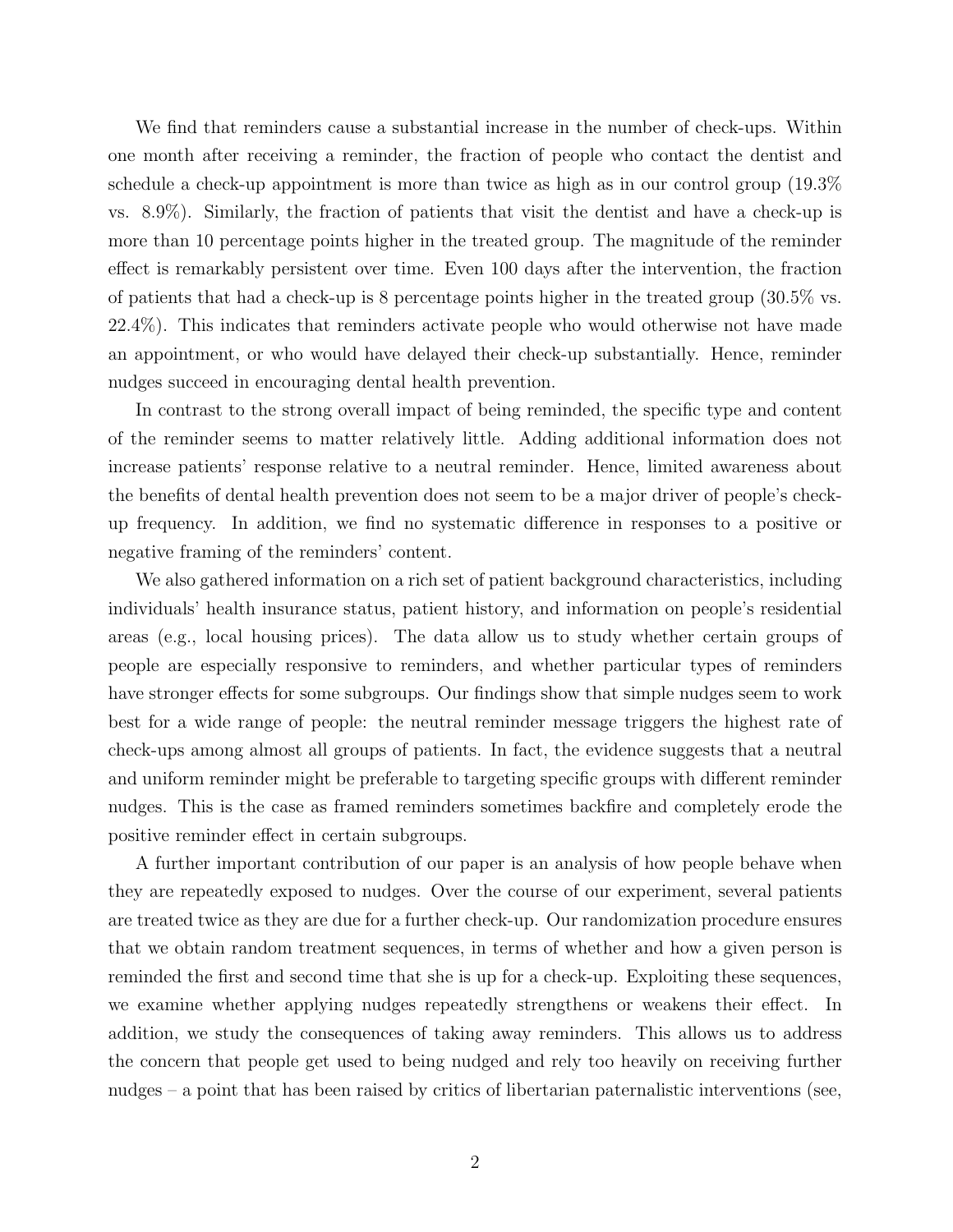We find that reminders cause a substantial increase in the number of check-ups. Within one month after receiving a reminder, the fraction of people who contact the dentist and schedule a check-up appointment is more than twice as high as in our control group (19.3% vs. 8.9%). Similarly, the fraction of patients that visit the dentist and have a check-up is more than 10 percentage points higher in the treated group. The magnitude of the reminder effect is remarkably persistent over time. Even 100 days after the intervention, the fraction of patients that had a check-up is 8 percentage points higher in the treated group (30.5% vs. 22.4%). This indicates that reminders activate people who would otherwise not have made an appointment, or who would have delayed their check-up substantially. Hence, reminder nudges succeed in encouraging dental health prevention.

In contrast to the strong overall impact of being reminded, the specific type and content of the reminder seems to matter relatively little. Adding additional information does not increase patients' response relative to a neutral reminder. Hence, limited awareness about the benefits of dental health prevention does not seem to be a major driver of people's checkup frequency. In addition, we find no systematic difference in responses to a positive or negative framing of the reminders' content.

We also gathered information on a rich set of patient background characteristics, including individuals' health insurance status, patient history, and information on people's residential areas (e.g., local housing prices). The data allow us to study whether certain groups of people are especially responsive to reminders, and whether particular types of reminders have stronger effects for some subgroups. Our findings show that simple nudges seem to work best for a wide range of people: the neutral reminder message triggers the highest rate of check-ups among almost all groups of patients. In fact, the evidence suggests that a neutral and uniform reminder might be preferable to targeting specific groups with different reminder nudges. This is the case as framed reminders sometimes backfire and completely erode the positive reminder effect in certain subgroups.

A further important contribution of our paper is an analysis of how people behave when they are repeatedly exposed to nudges. Over the course of our experiment, several patients are treated twice as they are due for a further check-up. Our randomization procedure ensures that we obtain random treatment sequences, in terms of whether and how a given person is reminded the first and second time that she is up for a check-up. Exploiting these sequences, we examine whether applying nudges repeatedly strengthens or weakens their effect. In addition, we study the consequences of taking away reminders. This allows us to address the concern that people get used to being nudged and rely too heavily on receiving further nudges – a point that has been raised by critics of libertarian paternalistic interventions (see,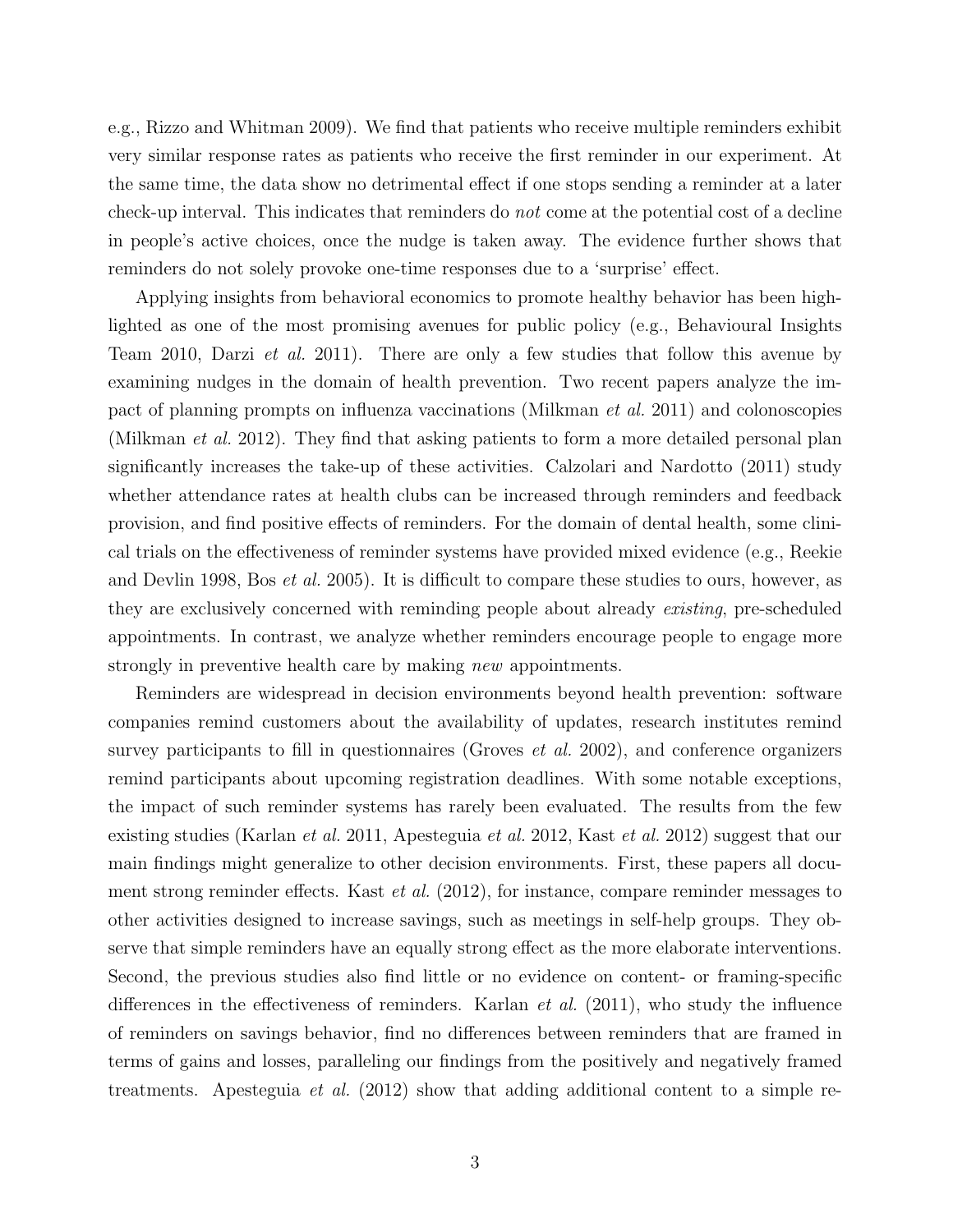e.g., Rizzo and Whitman 2009). We find that patients who receive multiple reminders exhibit very similar response rates as patients who receive the first reminder in our experiment. At the same time, the data show no detrimental effect if one stops sending a reminder at a later check-up interval. This indicates that reminders do *not* come at the potential cost of a decline in people's active choices, once the nudge is taken away. The evidence further shows that reminders do not solely provoke one-time responses due to a 'surprise' effect.

Applying insights from behavioral economics to promote healthy behavior has been highlighted as one of the most promising avenues for public policy (e.g., Behavioural Insights Team 2010, Darzi *et al.* 2011). There are only a few studies that follow this avenue by examining nudges in the domain of health prevention. Two recent papers analyze the impact of planning prompts on influenza vaccinations (Milkman *et al.* 2011) and colonoscopies (Milkman *et al.* 2012). They find that asking patients to form a more detailed personal plan significantly increases the take-up of these activities. Calzolari and Nardotto (2011) study whether attendance rates at health clubs can be increased through reminders and feedback provision, and find positive effects of reminders. For the domain of dental health, some clinical trials on the effectiveness of reminder systems have provided mixed evidence (e.g., Reekie and Devlin 1998, Bos *et al.* 2005). It is difficult to compare these studies to ours, however, as they are exclusively concerned with reminding people about already *existing*, pre-scheduled appointments. In contrast, we analyze whether reminders encourage people to engage more strongly in preventive health care by making *new* appointments.

Reminders are widespread in decision environments beyond health prevention: software companies remind customers about the availability of updates, research institutes remind survey participants to fill in questionnaires (Groves *et al.* 2002), and conference organizers remind participants about upcoming registration deadlines. With some notable exceptions, the impact of such reminder systems has rarely been evaluated. The results from the few existing studies (Karlan *et al.* 2011, Apesteguia *et al.* 2012, Kast *et al.* 2012) suggest that our main findings might generalize to other decision environments. First, these papers all document strong reminder effects. Kast *et al.* (2012), for instance, compare reminder messages to other activities designed to increase savings, such as meetings in self-help groups. They observe that simple reminders have an equally strong effect as the more elaborate interventions. Second, the previous studies also find little or no evidence on content- or framing-specific differences in the effectiveness of reminders. Karlan *et al.* (2011), who study the influence of reminders on savings behavior, find no differences between reminders that are framed in terms of gains and losses, paralleling our findings from the positively and negatively framed treatments. Apesteguia *et al.* (2012) show that adding additional content to a simple re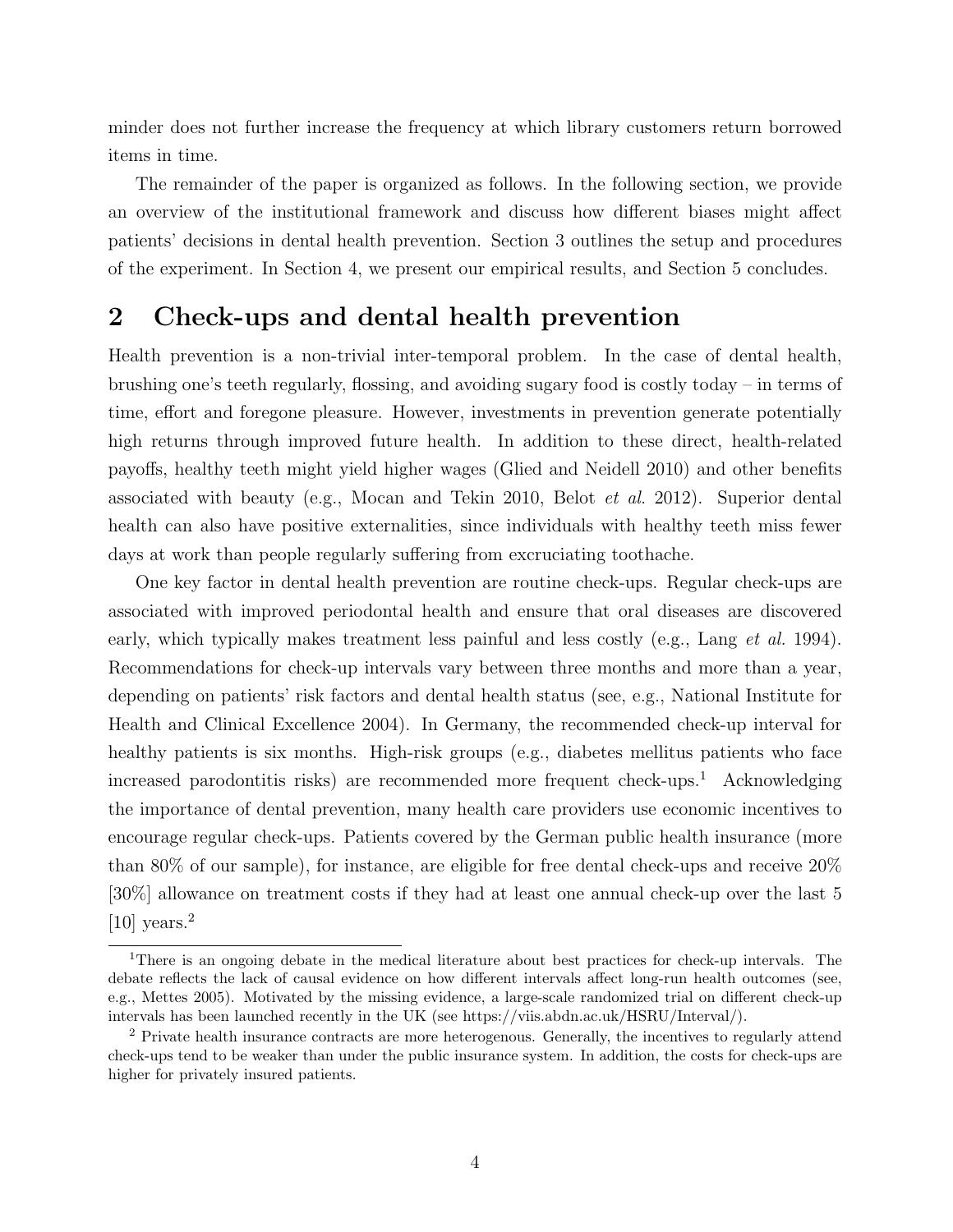minder does not further increase the frequency at which library customers return borrowed items in time.

The remainder of the paper is organized as follows. In the following section, we provide an overview of the institutional framework and discuss how different biases might affect patients' decisions in dental health prevention. Section 3 outlines the setup and procedures of the experiment. In Section 4, we present our empirical results, and Section 5 concludes.

# **2 Check-ups and dental health prevention**

Health prevention is a non-trivial inter-temporal problem. In the case of dental health, brushing one's teeth regularly, flossing, and avoiding sugary food is costly today – in terms of time, effort and foregone pleasure. However, investments in prevention generate potentially high returns through improved future health. In addition to these direct, health-related payoffs, healthy teeth might yield higher wages (Glied and Neidell 2010) and other benefits associated with beauty (e.g., Mocan and Tekin 2010, Belot *et al.* 2012). Superior dental health can also have positive externalities, since individuals with healthy teeth miss fewer days at work than people regularly suffering from excruciating toothache.

One key factor in dental health prevention are routine check-ups. Regular check-ups are associated with improved periodontal health and ensure that oral diseases are discovered early, which typically makes treatment less painful and less costly (e.g., Lang *et al.* 1994). Recommendations for check-up intervals vary between three months and more than a year, depending on patients' risk factors and dental health status (see, e.g., National Institute for Health and Clinical Excellence 2004). In Germany, the recommended check-up interval for healthy patients is six months. High-risk groups (e.g., diabetes mellitus patients who face increased parodontitis risks) are recommended more frequent check-ups.<sup>1</sup> Acknowledging the importance of dental prevention, many health care providers use economic incentives to encourage regular check-ups. Patients covered by the German public health insurance (more than 80% of our sample), for instance, are eligible for free dental check-ups and receive 20% [30%] allowance on treatment costs if they had at least one annual check-up over the last 5 [10] years.<sup>2</sup>

<sup>&</sup>lt;sup>1</sup>There is an ongoing debate in the medical literature about best practices for check-up intervals. The debate reflects the lack of causal evidence on how different intervals affect long-run health outcomes (see, e.g., Mettes 2005). Motivated by the missing evidence, a large-scale randomized trial on different check-up intervals has been launched recently in the UK (see https://viis.abdn.ac.uk/HSRU/Interval/).

<sup>2</sup> Private health insurance contracts are more heterogenous. Generally, the incentives to regularly attend check-ups tend to be weaker than under the public insurance system. In addition, the costs for check-ups are higher for privately insured patients.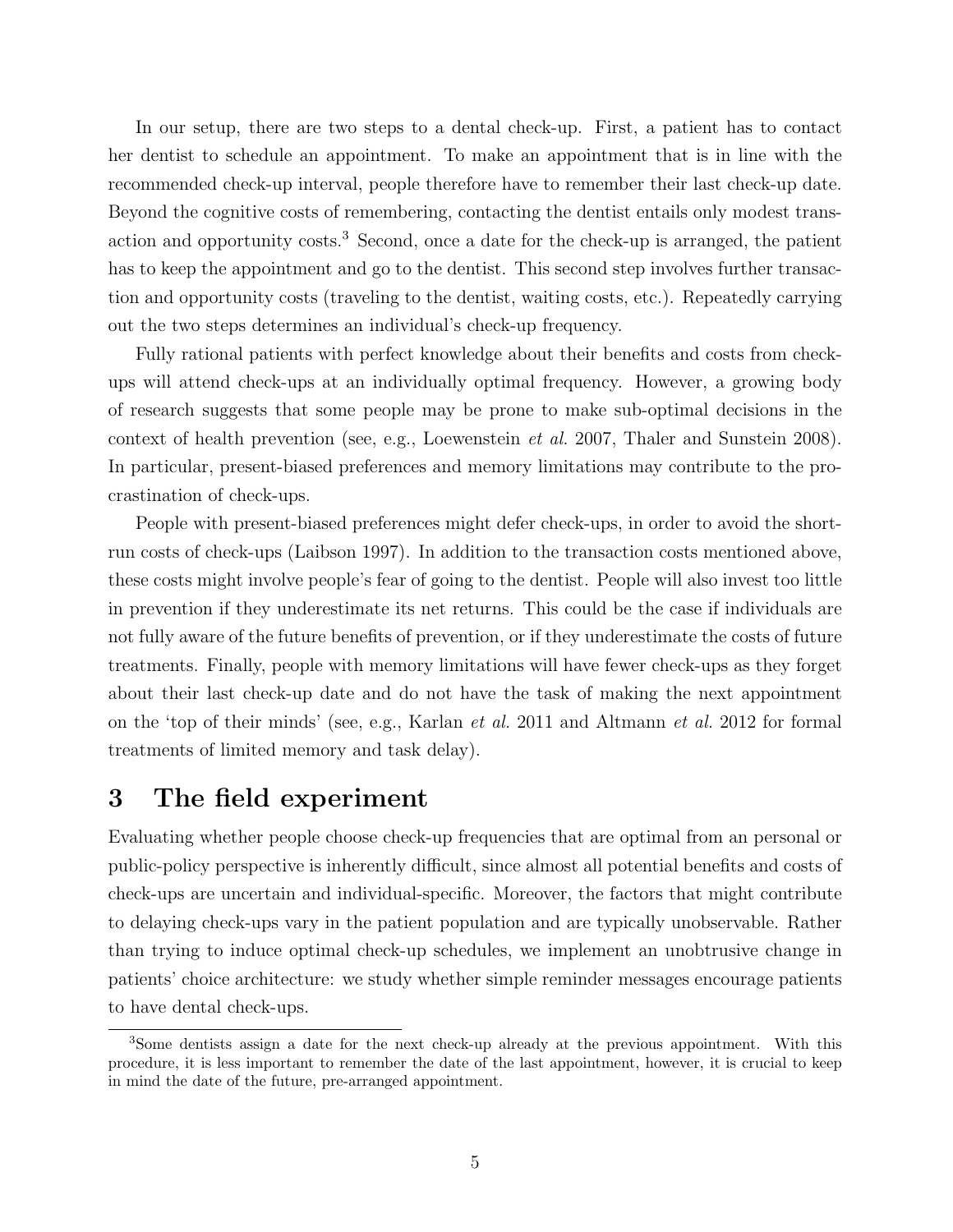In our setup, there are two steps to a dental check-up. First, a patient has to contact her dentist to schedule an appointment. To make an appointment that is in line with the recommended check-up interval, people therefore have to remember their last check-up date. Beyond the cognitive costs of remembering, contacting the dentist entails only modest transaction and opportunity costs.<sup>3</sup> Second, once a date for the check-up is arranged, the patient has to keep the appointment and go to the dentist. This second step involves further transaction and opportunity costs (traveling to the dentist, waiting costs, etc.). Repeatedly carrying out the two steps determines an individual's check-up frequency.

Fully rational patients with perfect knowledge about their benefits and costs from checkups will attend check-ups at an individually optimal frequency. However, a growing body of research suggests that some people may be prone to make sub-optimal decisions in the context of health prevention (see, e.g., Loewenstein *et al.* 2007, Thaler and Sunstein 2008). In particular, present-biased preferences and memory limitations may contribute to the procrastination of check-ups.

People with present-biased preferences might defer check-ups, in order to avoid the shortrun costs of check-ups (Laibson 1997). In addition to the transaction costs mentioned above, these costs might involve people's fear of going to the dentist. People will also invest too little in prevention if they underestimate its net returns. This could be the case if individuals are not fully aware of the future benefits of prevention, or if they underestimate the costs of future treatments. Finally, people with memory limitations will have fewer check-ups as they forget about their last check-up date and do not have the task of making the next appointment on the 'top of their minds' (see, e.g., Karlan *et al.* 2011 and Altmann *et al.* 2012 for formal treatments of limited memory and task delay).

## **3 The field experiment**

Evaluating whether people choose check-up frequencies that are optimal from an personal or public-policy perspective is inherently difficult, since almost all potential benefits and costs of check-ups are uncertain and individual-specific. Moreover, the factors that might contribute to delaying check-ups vary in the patient population and are typically unobservable. Rather than trying to induce optimal check-up schedules, we implement an unobtrusive change in patients' choice architecture: we study whether simple reminder messages encourage patients to have dental check-ups.

<sup>3</sup>Some dentists assign a date for the next check-up already at the previous appointment. With this procedure, it is less important to remember the date of the last appointment, however, it is crucial to keep in mind the date of the future, pre-arranged appointment.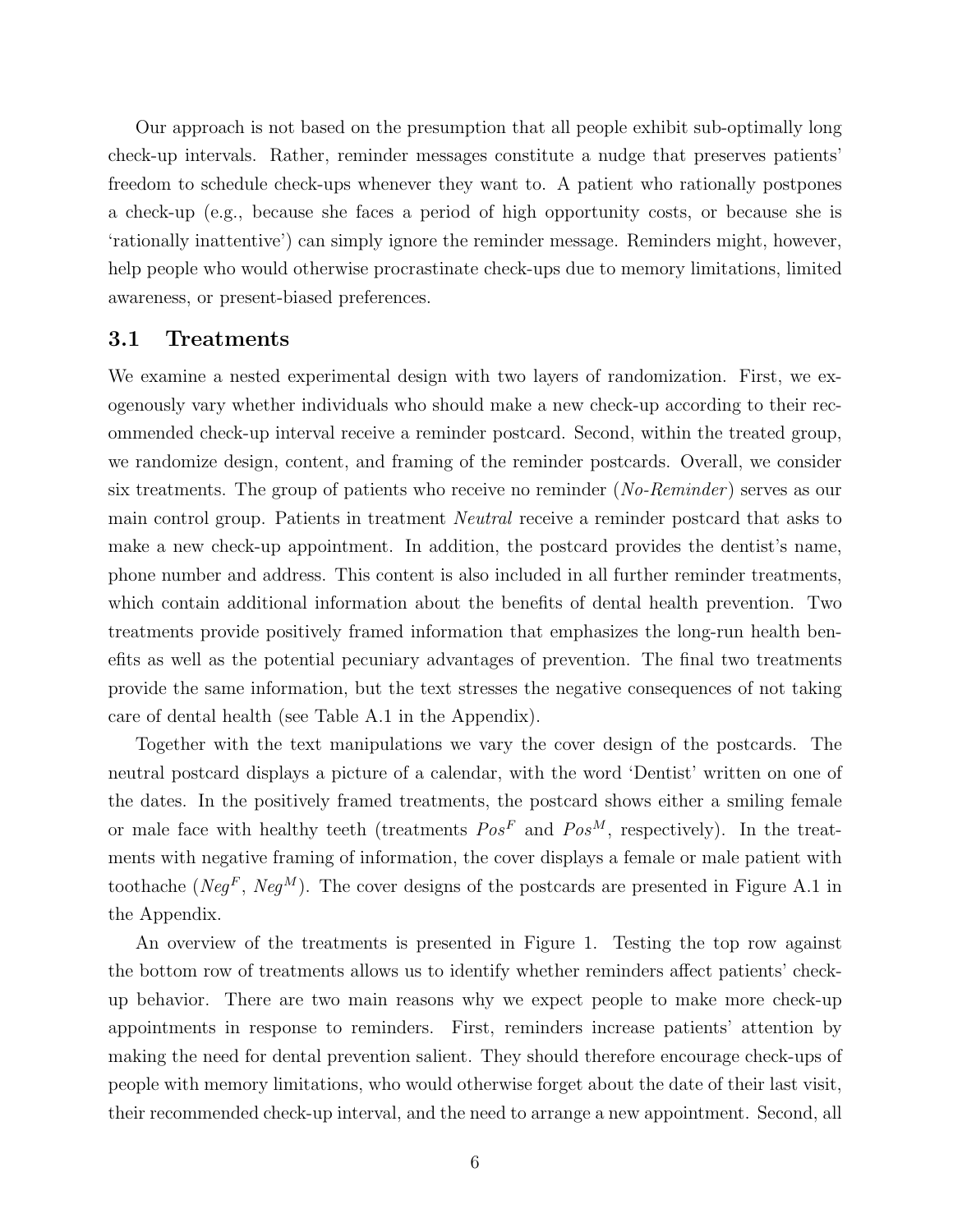Our approach is not based on the presumption that all people exhibit sub-optimally long check-up intervals. Rather, reminder messages constitute a nudge that preserves patients' freedom to schedule check-ups whenever they want to. A patient who rationally postpones a check-up (e.g., because she faces a period of high opportunity costs, or because she is 'rationally inattentive') can simply ignore the reminder message. Reminders might, however, help people who would otherwise procrastinate check-ups due to memory limitations, limited awareness, or present-biased preferences.

#### **3.1 Treatments**

We examine a nested experimental design with two layers of randomization. First, we exogenously vary whether individuals who should make a new check-up according to their recommended check-up interval receive a reminder postcard. Second, within the treated group, we randomize design, content, and framing of the reminder postcards. Overall, we consider six treatments. The group of patients who receive no reminder (*No-Reminder* ) serves as our main control group. Patients in treatment *Neutral* receive a reminder postcard that asks to make a new check-up appointment. In addition, the postcard provides the dentist's name, phone number and address. This content is also included in all further reminder treatments, which contain additional information about the benefits of dental health prevention. Two treatments provide positively framed information that emphasizes the long-run health benefits as well as the potential pecuniary advantages of prevention. The final two treatments provide the same information, but the text stresses the negative consequences of not taking care of dental health (see Table A.1 in the Appendix).

Together with the text manipulations we vary the cover design of the postcards. The neutral postcard displays a picture of a calendar, with the word 'Dentist' written on one of the dates. In the positively framed treatments, the postcard shows either a smiling female or male face with healthy teeth (treatments *Pos<sup>F</sup>* and *Pos<sup>M</sup>*, respectively). In the treatments with negative framing of information, the cover displays a female or male patient with toothache (*Neg<sup>F</sup>* , *Neg<sup>M</sup>*). The cover designs of the postcards are presented in Figure A.1 in the Appendix.

An overview of the treatments is presented in Figure 1. Testing the top row against the bottom row of treatments allows us to identify whether reminders affect patients' checkup behavior. There are two main reasons why we expect people to make more check-up appointments in response to reminders. First, reminders increase patients' attention by making the need for dental prevention salient. They should therefore encourage check-ups of people with memory limitations, who would otherwise forget about the date of their last visit, their recommended check-up interval, and the need to arrange a new appointment. Second, all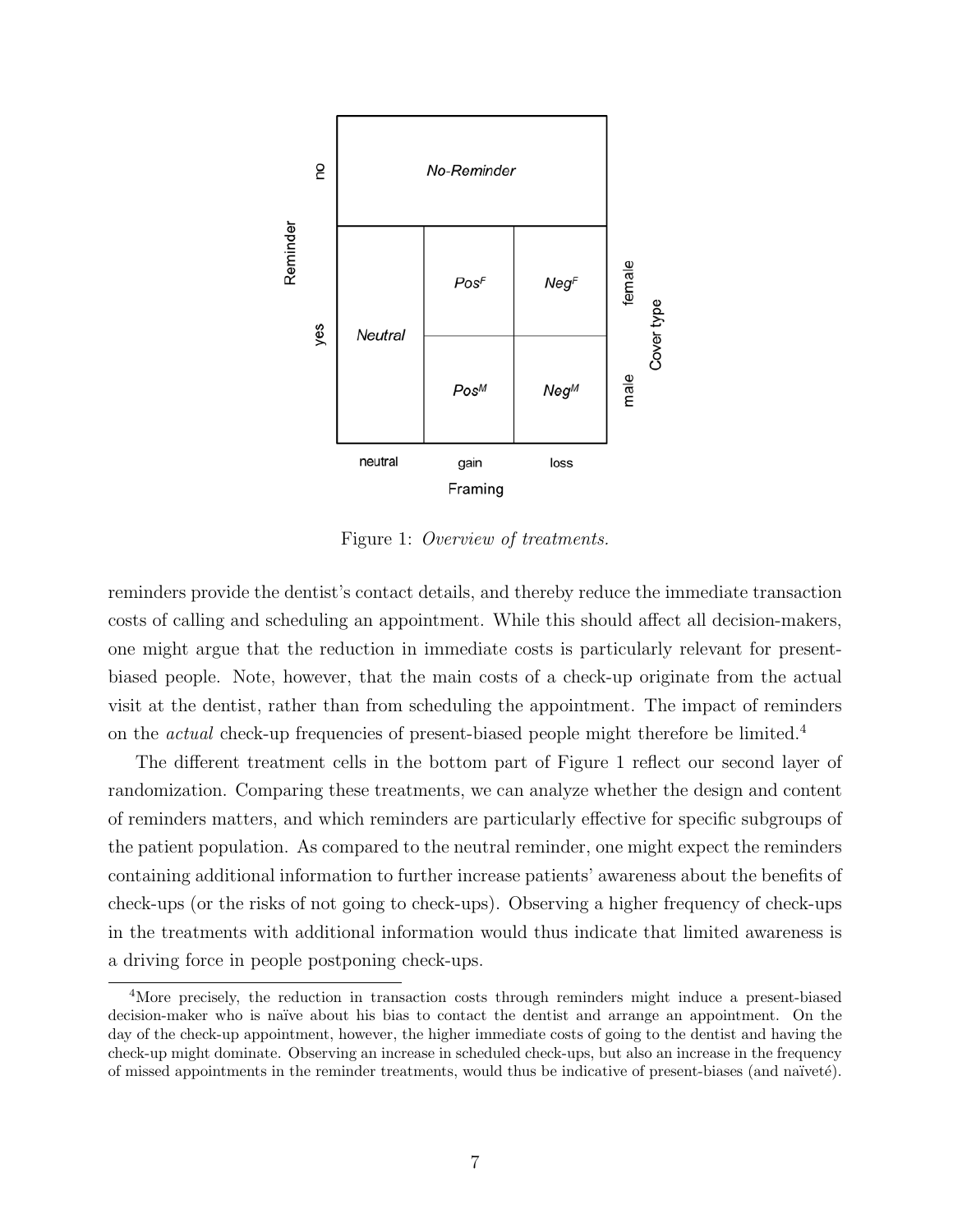

Figure 1: *Overview of treatments.*

reminders provide the dentist's contact details, and thereby reduce the immediate transaction costs of calling and scheduling an appointment. While this should affect all decision-makers, one might argue that the reduction in immediate costs is particularly relevant for presentbiased people. Note, however, that the main costs of a check-up originate from the actual visit at the dentist, rather than from scheduling the appointment. The impact of reminders on the *actual* check-up frequencies of present-biased people might therefore be limited.<sup>4</sup>

The different treatment cells in the bottom part of Figure 1 reflect our second layer of randomization. Comparing these treatments, we can analyze whether the design and content of reminders matters, and which reminders are particularly effective for specific subgroups of the patient population. As compared to the neutral reminder, one might expect the reminders containing additional information to further increase patients' awareness about the benefits of check-ups (or the risks of not going to check-ups). Observing a higher frequency of check-ups in the treatments with additional information would thus indicate that limited awareness is a driving force in people postponing check-ups.

<sup>&</sup>lt;sup>4</sup>More precisely, the reduction in transaction costs through reminders might induce a present-biased decision-maker who is naïve about his bias to contact the dentist and arrange an appointment. On the day of the check-up appointment, however, the higher immediate costs of going to the dentist and having the check-up might dominate. Observing an increase in scheduled check-ups, but also an increase in the frequency of missed appointments in the reminder treatments, would thus be indicative of present-biases (and na¨ıvet´e).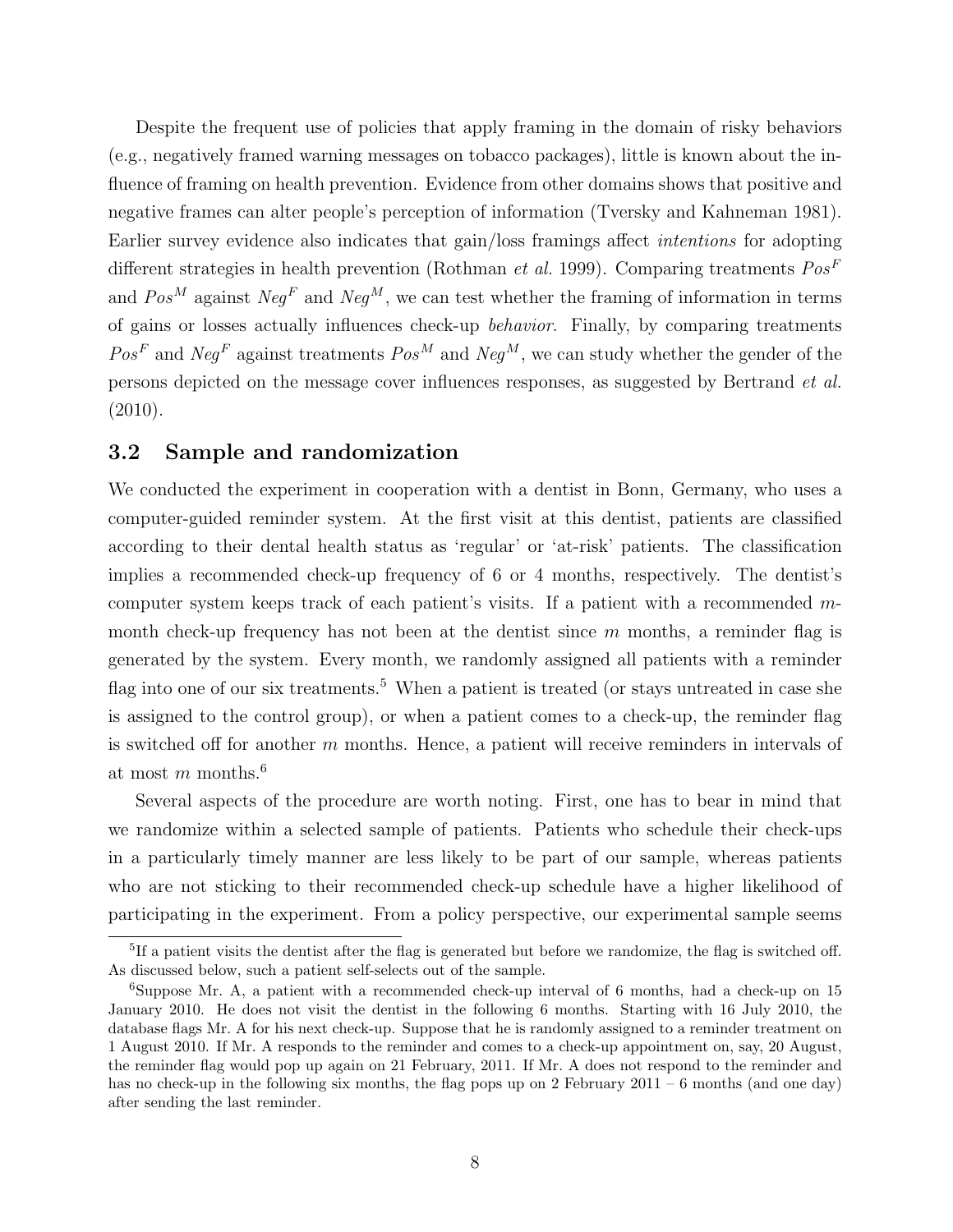Despite the frequent use of policies that apply framing in the domain of risky behaviors (e.g., negatively framed warning messages on tobacco packages), little is known about the influence of framing on health prevention. Evidence from other domains shows that positive and negative frames can alter people's perception of information (Tversky and Kahneman 1981). Earlier survey evidence also indicates that gain/loss framings affect *intentions* for adopting different strategies in health prevention (Rothman *et al.* 1999). Comparing treatments *Pos<sup>F</sup>* and  $Pos^M$  against  $Neg^F$  and  $Neg^M$ , we can test whether the framing of information in terms of gains or losses actually influences check-up *behavior*. Finally, by comparing treatments  $Pos<sup>F</sup>$  and  $Neg<sup>F</sup>$  against treatments  $Pos<sup>M</sup>$  and  $Neg<sup>M</sup>$ , we can study whether the gender of the persons depicted on the message cover influences responses, as suggested by Bertrand *et al.* (2010).

## **3.2 Sample and randomization**

We conducted the experiment in cooperation with a dentist in Bonn, Germany, who uses a computer-guided reminder system. At the first visit at this dentist, patients are classified according to their dental health status as 'regular' or 'at-risk' patients. The classification implies a recommended check-up frequency of 6 or 4 months, respectively. The dentist's computer system keeps track of each patient's visits. If a patient with a recommended *m*month check-up frequency has not been at the dentist since *m* months, a reminder flag is generated by the system. Every month, we randomly assigned all patients with a reminder flag into one of our six treatments.<sup>5</sup> When a patient is treated (or stays untreated in case she is assigned to the control group), or when a patient comes to a check-up, the reminder flag is switched off for another *m* months. Hence, a patient will receive reminders in intervals of at most *m* months.<sup>6</sup>

Several aspects of the procedure are worth noting. First, one has to bear in mind that we randomize within a selected sample of patients. Patients who schedule their check-ups in a particularly timely manner are less likely to be part of our sample, whereas patients who are not sticking to their recommended check-up schedule have a higher likelihood of participating in the experiment. From a policy perspective, our experimental sample seems

<sup>&</sup>lt;sup>5</sup>If a patient visits the dentist after the flag is generated but before we randomize, the flag is switched off. As discussed below, such a patient self-selects out of the sample.

<sup>6</sup>Suppose Mr. A, a patient with a recommended check-up interval of 6 months, had a check-up on 15 January 2010. He does not visit the dentist in the following 6 months. Starting with 16 July 2010, the database flags Mr. A for his next check-up. Suppose that he is randomly assigned to a reminder treatment on 1 August 2010. If Mr. A responds to the reminder and comes to a check-up appointment on, say, 20 August, the reminder flag would pop up again on 21 February, 2011. If Mr. A does not respond to the reminder and has no check-up in the following six months, the flag pops up on 2 February 2011 – 6 months (and one day) after sending the last reminder.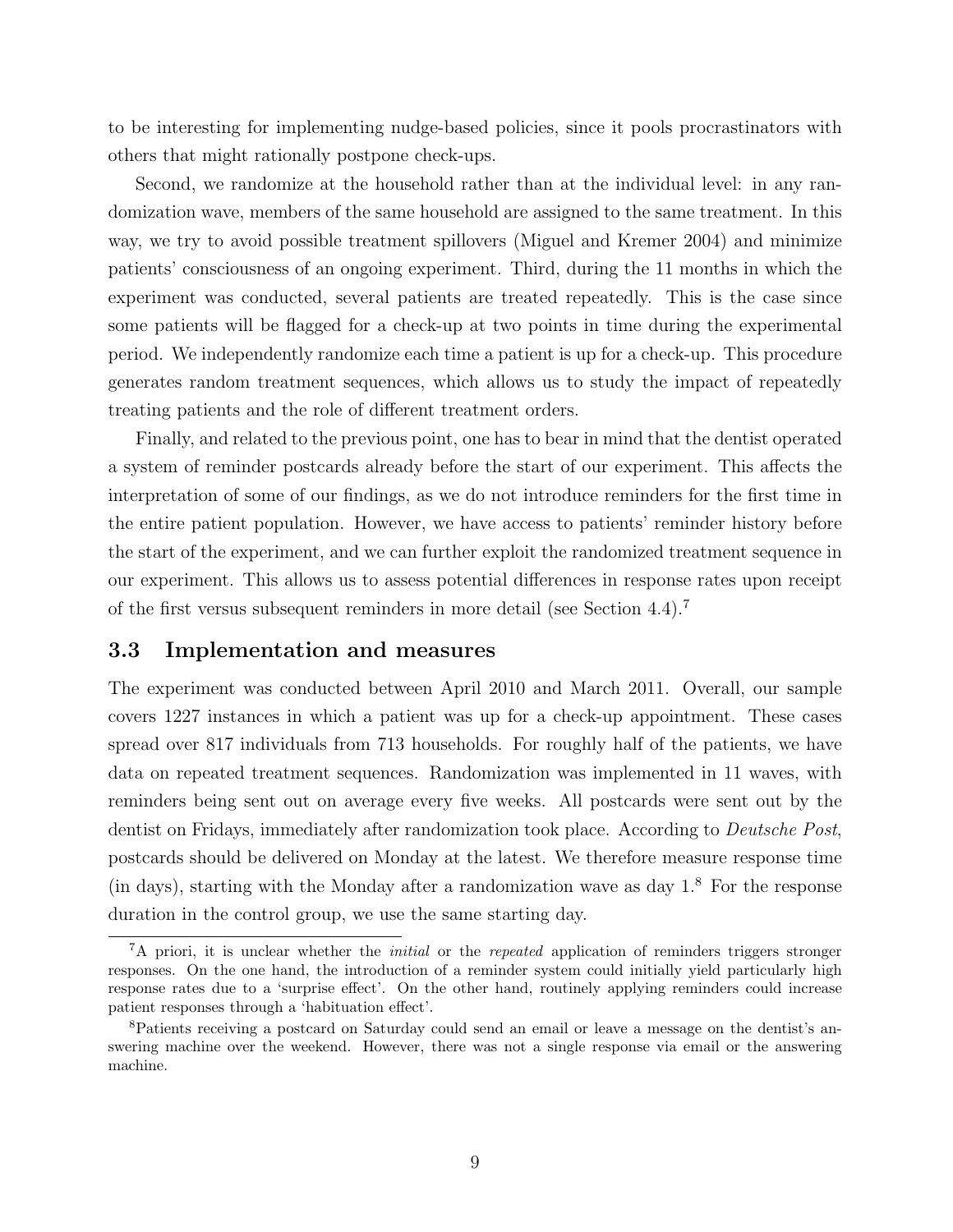to be interesting for implementing nudge-based policies, since it pools procrastinators with others that might rationally postpone check-ups.

Second, we randomize at the household rather than at the individual level: in any randomization wave, members of the same household are assigned to the same treatment. In this way, we try to avoid possible treatment spillovers (Miguel and Kremer 2004) and minimize patients' consciousness of an ongoing experiment. Third, during the 11 months in which the experiment was conducted, several patients are treated repeatedly. This is the case since some patients will be flagged for a check-up at two points in time during the experimental period. We independently randomize each time a patient is up for a check-up. This procedure generates random treatment sequences, which allows us to study the impact of repeatedly treating patients and the role of different treatment orders.

Finally, and related to the previous point, one has to bear in mind that the dentist operated a system of reminder postcards already before the start of our experiment. This affects the interpretation of some of our findings, as we do not introduce reminders for the first time in the entire patient population. However, we have access to patients' reminder history before the start of the experiment, and we can further exploit the randomized treatment sequence in our experiment. This allows us to assess potential differences in response rates upon receipt of the first versus subsequent reminders in more detail (see Section 4.4).<sup>7</sup>

### **3.3 Implementation and measures**

The experiment was conducted between April 2010 and March 2011. Overall, our sample covers 1227 instances in which a patient was up for a check-up appointment. These cases spread over 817 individuals from 713 households. For roughly half of the patients, we have data on repeated treatment sequences. Randomization was implemented in 11 waves, with reminders being sent out on average every five weeks. All postcards were sent out by the dentist on Fridays, immediately after randomization took place. According to *Deutsche Post*, postcards should be delivered on Monday at the latest. We therefore measure response time (in days), starting with the Monday after a randomization wave as day  $1<sup>8</sup>$  For the response duration in the control group, we use the same starting day.

<sup>7</sup>A priori, it is unclear whether the *initial* or the *repeated* application of reminders triggers stronger responses. On the one hand, the introduction of a reminder system could initially yield particularly high response rates due to a 'surprise effect'. On the other hand, routinely applying reminders could increase patient responses through a 'habituation effect'.

<sup>8</sup>Patients receiving a postcard on Saturday could send an email or leave a message on the dentist's answering machine over the weekend. However, there was not a single response via email or the answering machine.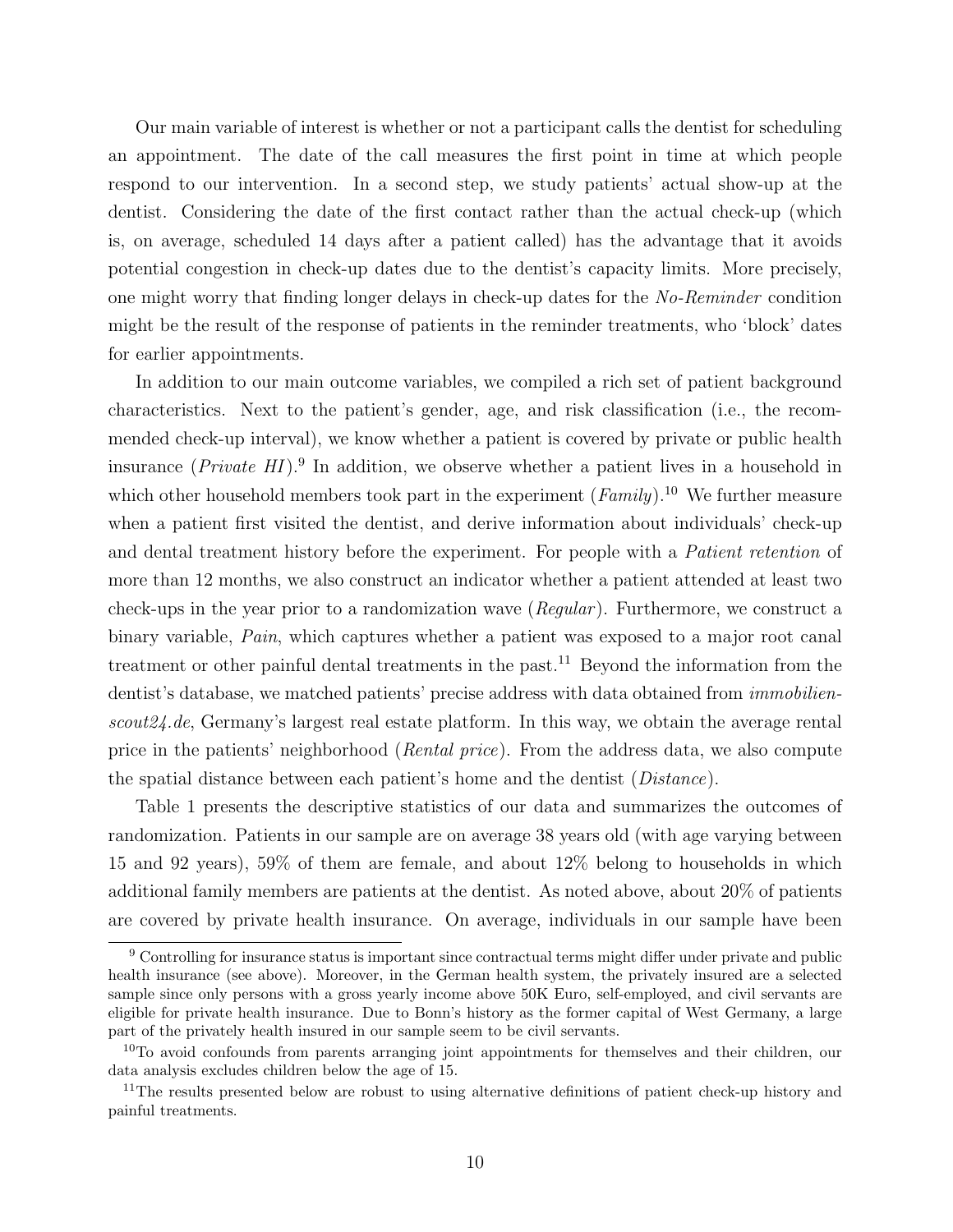Our main variable of interest is whether or not a participant calls the dentist for scheduling an appointment. The date of the call measures the first point in time at which people respond to our intervention. In a second step, we study patients' actual show-up at the dentist. Considering the date of the first contact rather than the actual check-up (which is, on average, scheduled 14 days after a patient called) has the advantage that it avoids potential congestion in check-up dates due to the dentist's capacity limits. More precisely, one might worry that finding longer delays in check-up dates for the *No-Reminder* condition might be the result of the response of patients in the reminder treatments, who 'block' dates for earlier appointments.

In addition to our main outcome variables, we compiled a rich set of patient background characteristics. Next to the patient's gender, age, and risk classification (i.e., the recommended check-up interval), we know whether a patient is covered by private or public health insurance (*Private HI*).<sup>9</sup> In addition, we observe whether a patient lives in a household in which other household members took part in the experiment (*Family*).<sup>10</sup> We further measure when a patient first visited the dentist, and derive information about individuals' check-up and dental treatment history before the experiment. For people with a *Patient retention* of more than 12 months, we also construct an indicator whether a patient attended at least two check-ups in the year prior to a randomization wave (*Regular* ). Furthermore, we construct a binary variable, *Pain*, which captures whether a patient was exposed to a major root canal treatment or other painful dental treatments in the past.<sup>11</sup> Beyond the information from the dentist's database, we matched patients' precise address with data obtained from *immobilienscout24.de*, Germany's largest real estate platform. In this way, we obtain the average rental price in the patients' neighborhood (*Rental price*). From the address data, we also compute the spatial distance between each patient's home and the dentist (*Distance*).

Table 1 presents the descriptive statistics of our data and summarizes the outcomes of randomization. Patients in our sample are on average 38 years old (with age varying between 15 and 92 years), 59% of them are female, and about 12% belong to households in which additional family members are patients at the dentist. As noted above, about 20% of patients are covered by private health insurance. On average, individuals in our sample have been

<sup>9</sup> Controlling for insurance status is important since contractual terms might differ under private and public health insurance (see above). Moreover, in the German health system, the privately insured are a selected sample since only persons with a gross yearly income above 50K Euro, self-employed, and civil servants are eligible for private health insurance. Due to Bonn's history as the former capital of West Germany, a large part of the privately health insured in our sample seem to be civil servants.

 $10$ To avoid confounds from parents arranging joint appointments for themselves and their children, our data analysis excludes children below the age of 15.

 $11$ The results presented below are robust to using alternative definitions of patient check-up history and painful treatments.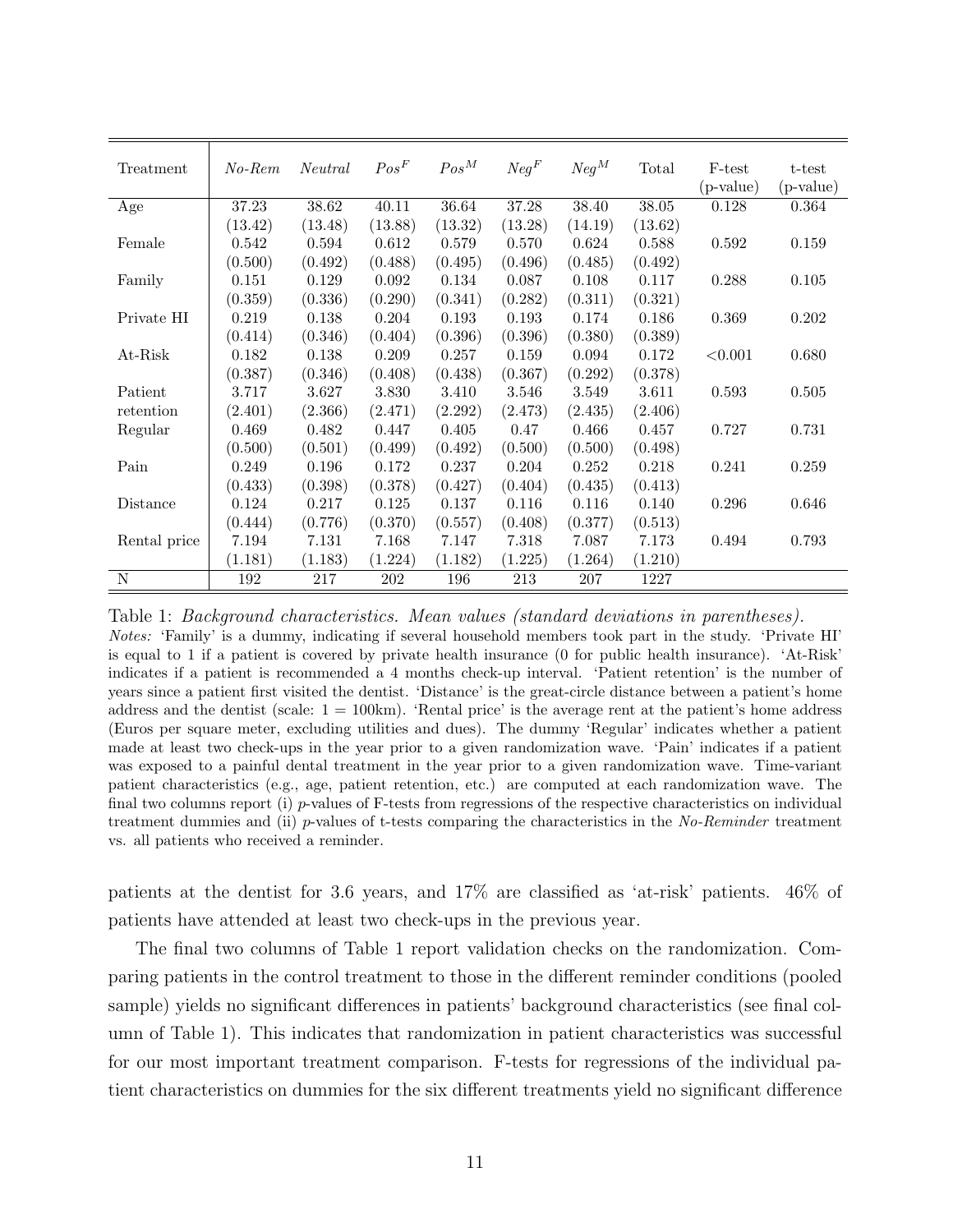| Treatment    | $No$ - $Rem$ | Neutral | $Pos^F$ | $Pos^M$ | $Neq^F$ | $Neg^M$ | Total   | F-test      | t-test      |
|--------------|--------------|---------|---------|---------|---------|---------|---------|-------------|-------------|
|              |              |         |         |         |         |         |         | $(p-value)$ | $(p-value)$ |
| Age          | 37.23        | 38.62   | 40.11   | 36.64   | 37.28   | 38.40   | 38.05   | 0.128       | 0.364       |
|              | (13.42)      | (13.48) | (13.88) | (13.32) | (13.28) | (14.19) | (13.62) |             |             |
| Female       | 0.542        | 0.594   | 0.612   | 0.579   | 0.570   | 0.624   | 0.588   | 0.592       | 0.159       |
|              | (0.500)      | (0.492) | (0.488) | (0.495) | (0.496) | (0.485) | (0.492) |             |             |
| Family       | $0.151\,$    | 0.129   | 0.092   | 0.134   | 0.087   | 0.108   | 0.117   | 0.288       | 0.105       |
|              | (0.359)      | (0.336) | (0.290) | (0.341) | (0.282) | (0.311) | (0.321) |             |             |
| Private HI   | 0.219        | 0.138   | 0.204   | 0.193   | 0.193   | 0.174   | 0.186   | 0.369       | 0.202       |
|              | (0.414)      | (0.346) | (0.404) | (0.396) | (0.396) | (0.380) | (0.389) |             |             |
| At-Risk      | 0.182        | 0.138   | 0.209   | 0.257   | 0.159   | 0.094   | 0.172   | < 0.001     | 0.680       |
|              | (0.387)      | (0.346) | (0.408) | (0.438) | (0.367) | (0.292) | (0.378) |             |             |
| Patient      | 3.717        | 3.627   | 3.830   | 3.410   | 3.546   | 3.549   | 3.611   | 0.593       | 0.505       |
| retention    | (2.401)      | (2.366) | (2.471) | (2.292) | (2.473) | (2.435) | (2.406) |             |             |
| Regular      | 0.469        | 0.482   | 0.447   | 0.405   | 0.47    | 0.466   | 0.457   | 0.727       | 0.731       |
|              | (0.500)      | (0.501) | (0.499) | (0.492) | (0.500) | (0.500) | (0.498) |             |             |
| Pain         | 0.249        | 0.196   | 0.172   | 0.237   | 0.204   | 0.252   | 0.218   | 0.241       | 0.259       |
|              | (0.433)      | (0.398) | (0.378) | (0.427) | (0.404) | (0.435) | (0.413) |             |             |
| Distance     | 0.124        | 0.217   | 0.125   | 0.137   | 0.116   | 0.116   | 0.140   | 0.296       | 0.646       |
|              | (0.444)      | (0.776) | (0.370) | (0.557) | (0.408) | (0.377) | (0.513) |             |             |
| Rental price | 7.194        | 7.131   | 7.168   | 7.147   | 7.318   | 7.087   | 7.173   | 0.494       | 0.793       |
|              | (1.181)      | (1.183) | (1.224) | (1.182) | (1.225) | (1.264) | (1.210) |             |             |
| N            | 192          | 217     | 202     | 196     | 213     | 207     | 1227    |             |             |

Table 1: *Background characteristics. Mean values (standard deviations in parentheses). Notes:* 'Family' is a dummy, indicating if several household members took part in the study. 'Private HI' is equal to 1 if a patient is covered by private health insurance (0 for public health insurance). 'At-Risk' indicates if a patient is recommended a 4 months check-up interval. 'Patient retention' is the number of years since a patient first visited the dentist. 'Distance' is the great-circle distance between a patient's home address and the dentist (scale:  $1 = 100 \text{km}$ ). 'Rental price' is the average rent at the patient's home address (Euros per square meter, excluding utilities and dues). The dummy 'Regular' indicates whether a patient made at least two check-ups in the year prior to a given randomization wave. 'Pain' indicates if a patient was exposed to a painful dental treatment in the year prior to a given randomization wave. Time-variant patient characteristics (e.g., age, patient retention, etc.) are computed at each randomization wave. The final two columns report (i) *p*-values of F-tests from regressions of the respective characteristics on individual treatment dummies and (ii) *p*-values of t-tests comparing the characteristics in the *No-Reminder* treatment vs. all patients who received a reminder.

patients at the dentist for 3.6 years, and 17% are classified as 'at-risk' patients. 46% of patients have attended at least two check-ups in the previous year.

The final two columns of Table 1 report validation checks on the randomization. Comparing patients in the control treatment to those in the different reminder conditions (pooled sample) yields no significant differences in patients' background characteristics (see final column of Table 1). This indicates that randomization in patient characteristics was successful for our most important treatment comparison. F-tests for regressions of the individual patient characteristics on dummies for the six different treatments yield no significant difference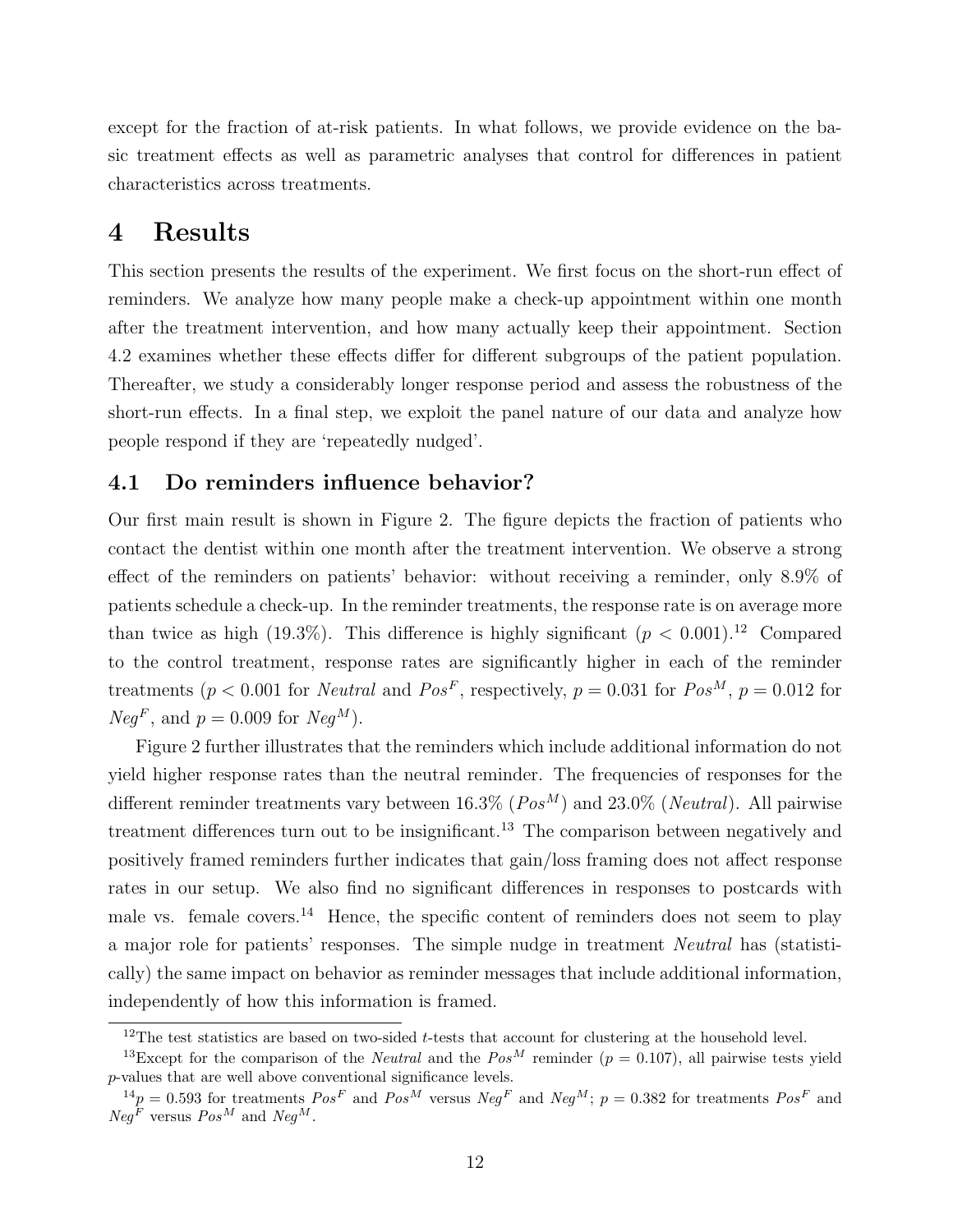except for the fraction of at-risk patients. In what follows, we provide evidence on the basic treatment effects as well as parametric analyses that control for differences in patient characteristics across treatments.

## **4 Results**

This section presents the results of the experiment. We first focus on the short-run effect of reminders. We analyze how many people make a check-up appointment within one month after the treatment intervention, and how many actually keep their appointment. Section 4.2 examines whether these effects differ for different subgroups of the patient population. Thereafter, we study a considerably longer response period and assess the robustness of the short-run effects. In a final step, we exploit the panel nature of our data and analyze how people respond if they are 'repeatedly nudged'.

## **4.1 Do reminders influence behavior?**

Our first main result is shown in Figure 2. The figure depicts the fraction of patients who contact the dentist within one month after the treatment intervention. We observe a strong effect of the reminders on patients' behavior: without receiving a reminder, only 8.9% of patients schedule a check-up. In the reminder treatments, the response rate is on average more than twice as high (19.3%). This difference is highly significant  $(p < 0.001)$ .<sup>12</sup> Compared to the control treatment, response rates are significantly higher in each of the reminder treatments ( $p < 0.001$  for *Neutral* and  $Pos^F$ , respectively,  $p = 0.031$  for  $Pos^M$ ,  $p = 0.012$  for  $Neg<sup>F</sup>$ , and  $p = 0.009$  for  $Neg<sup>M</sup>$ ).

Figure 2 further illustrates that the reminders which include additional information do not yield higher response rates than the neutral reminder. The frequencies of responses for the different reminder treatments vary between 16.3% (*Pos<sup>M</sup>*) and 23.0% (*Neutral*). All pairwise treatment differences turn out to be insignificant.<sup>13</sup> The comparison between negatively and positively framed reminders further indicates that gain/loss framing does not affect response rates in our setup. We also find no significant differences in responses to postcards with male vs. female covers.<sup>14</sup> Hence, the specific content of reminders does not seem to play a major role for patients' responses. The simple nudge in treatment *Neutral* has (statistically) the same impact on behavior as reminder messages that include additional information, independently of how this information is framed.

<sup>12</sup>The test statistics are based on two-sided *t*-tests that account for clustering at the household level.

<sup>&</sup>lt;sup>13</sup>Except for the comparison of the *Neutral* and the  $Pos^M$  reminder ( $p = 0.107$ ), all pairwise tests yield *p*-values that are well above conventional significance levels.

 $1^4p = 0.593$  for treatments  $Pos^F$  and  $Pos^M$  versus  $Neg^F$  and  $Neg^M$ ;  $p = 0.382$  for treatments  $Pos^F$  and  $Neg^F$  versus  $Pos^M$  and  $Neg^M$ .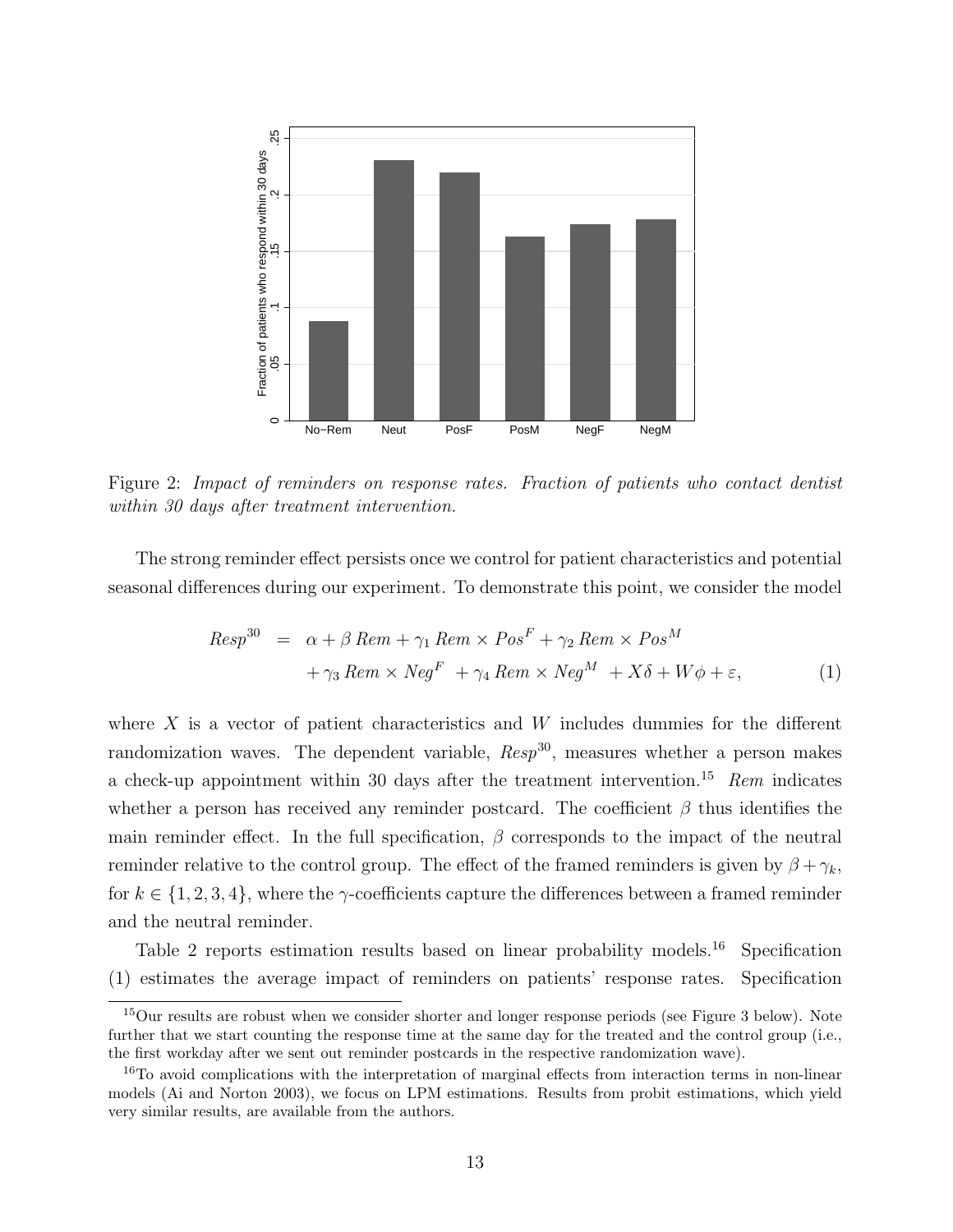

Figure 2: *Impact of reminders on response rates. Fraction of patients who contact dentist within 30 days after treatment intervention.*

The strong reminder effect persists once we control for patient characteristics and potential seasonal differences during our experiment. To demonstrate this point, we consider the model

$$
Resp^{30} = \alpha + \beta Rem + \gamma_1 Rem \times Pos^F + \gamma_2 Rem \times Pos^M
$$
  
+  $\gamma_3 Rem \times Neg^F + \gamma_4 Rem \times Neg^M + X\delta + W\phi + \varepsilon,$  (1)

where *X* is a vector of patient characteristics and *W* includes dummies for the different randomization waves. The dependent variable,  $Resp^{30}$ , measures whether a person makes a check-up appointment within 30 days after the treatment intervention.<sup>15</sup> *Rem* indicates whether a person has received any reminder postcard. The coefficient *β* thus identifies the main reminder effect. In the full specification, *β* corresponds to the impact of the neutral reminder relative to the control group. The effect of the framed reminders is given by  $\beta + \gamma_k$ , for  $k \in \{1, 2, 3, 4\}$ , where the *γ*-coefficients capture the differences between a framed reminder and the neutral reminder.

Table 2 reports estimation results based on linear probability models.<sup>16</sup> Specification (1) estimates the average impact of reminders on patients' response rates. Specification

<sup>15</sup>Our results are robust when we consider shorter and longer response periods (see Figure 3 below). Note further that we start counting the response time at the same day for the treated and the control group (i.e., the first workday after we sent out reminder postcards in the respective randomization wave).

<sup>&</sup>lt;sup>16</sup>To avoid complications with the interpretation of marginal effects from interaction terms in non-linear models (Ai and Norton 2003), we focus on LPM estimations. Results from probit estimations, which yield very similar results, are available from the authors.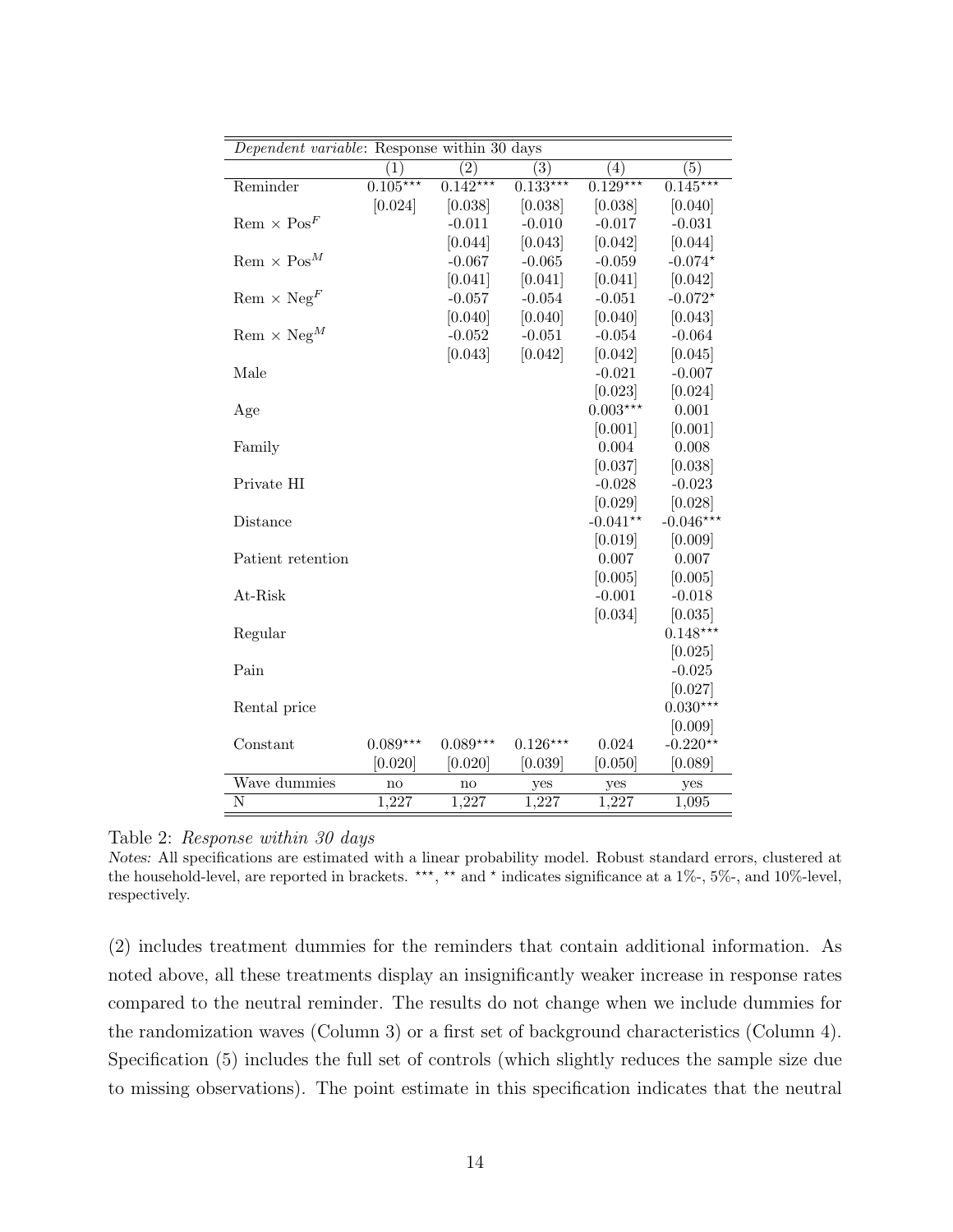| Dependent variable: Response within 30 days |                        |               |                       |            |             |
|---------------------------------------------|------------------------|---------------|-----------------------|------------|-------------|
|                                             | (1)                    | (2)           | (3)                   | (4)        | (5)         |
| Reminder                                    | $0.105***$             | $0.142***$    | $0.\overline{133***}$ | $0.129***$ | $0.145***$  |
|                                             | [0.024]                | [0.038]       | [0.038]               | [0.038]    | [0.040]     |
| $Rem \times Pos^F$                          |                        | $-0.011$      | $-0.010$              | $-0.017$   | $-0.031$    |
|                                             |                        | [0.044]       | [0.043]               | [0.042]    | [0.044]     |
| $\text{Rem} \times \text{Pos}^M$            |                        | $-0.067$      | $-0.065$              | $-0.059$   | $-0.074*$   |
|                                             |                        | [0.041]       | [0.041]               | [0.041]    | [0.042]     |
| $\text{Rem} \times \text{Neg}^F$            |                        | $-0.057$      | $-0.054$              | $-0.051$   | $-0.072*$   |
|                                             |                        | [0.040]       | [0.040]               | [0.040]    | [0.043]     |
| $\text{Rem}\times\text{Neg}^M$              |                        | $-0.052$      | $-0.051$              | $-0.054$   | $-0.064$    |
|                                             |                        | [0.043]       | [0.042]               | [0.042]    | [0.045]     |
| Male                                        |                        |               |                       | $-0.021$   | $-0.007$    |
|                                             |                        |               |                       | [0.023]    | [0.024]     |
| Age                                         |                        |               |                       | $0.003***$ | 0.001       |
|                                             |                        |               |                       | [0.001]    | [0.001]     |
| Family                                      |                        |               |                       | 0.004      | 0.008       |
|                                             |                        |               |                       | [0.037]    | [0.038]     |
| Private HI                                  |                        |               |                       | $-0.028$   | $-0.023$    |
|                                             |                        |               |                       | [0.029]    | [0.028]     |
| Distance                                    |                        |               |                       | $-0.041**$ | $-0.046***$ |
|                                             |                        |               |                       | [0.019]    | [0.009]     |
| Patient retention                           |                        |               |                       | 0.007      | 0.007       |
|                                             |                        |               |                       | [0.005]    | [0.005]     |
| At-Risk                                     |                        |               |                       | $-0.001$   | $-0.018$    |
|                                             |                        |               |                       | [0.034]    | [0.035]     |
| Regular                                     |                        |               |                       |            | $0.148***$  |
|                                             |                        |               |                       |            | [0.025]     |
| Pain                                        |                        |               |                       |            | $-0.025$    |
|                                             |                        |               |                       |            | [0.027]     |
| Rental price                                |                        |               |                       |            | $0.030***$  |
|                                             |                        |               |                       |            | [0.009]     |
| Constant                                    | $0.089***$             | $0.089***$    | $0.126***$            | 0.024      | $-0.220**$  |
|                                             | [0.020]                | [0.020]       | [0.039]               | [0.050]    | [0.089]     |
| Wave dummies                                | $\mathop{\mathrm{no}}$ | $\mathbf{no}$ | yes                   | yes        | yes         |
| $\overline{\text{N}}$                       | 1,227                  | 1,227         | 1,227                 | 1,227      | 1,095       |

#### Table 2: *Response within 30 days*

*Notes:* All specifications are estimated with a linear probability model. Robust standard errors, clustered at the household-level, are reported in brackets. \*\*\*, \*\* and \* indicates significance at a 1%-, 5%-, and 10%-level, respectively.

(2) includes treatment dummies for the reminders that contain additional information. As noted above, all these treatments display an insignificantly weaker increase in response rates compared to the neutral reminder. The results do not change when we include dummies for the randomization waves (Column 3) or a first set of background characteristics (Column 4). Specification (5) includes the full set of controls (which slightly reduces the sample size due to missing observations). The point estimate in this specification indicates that the neutral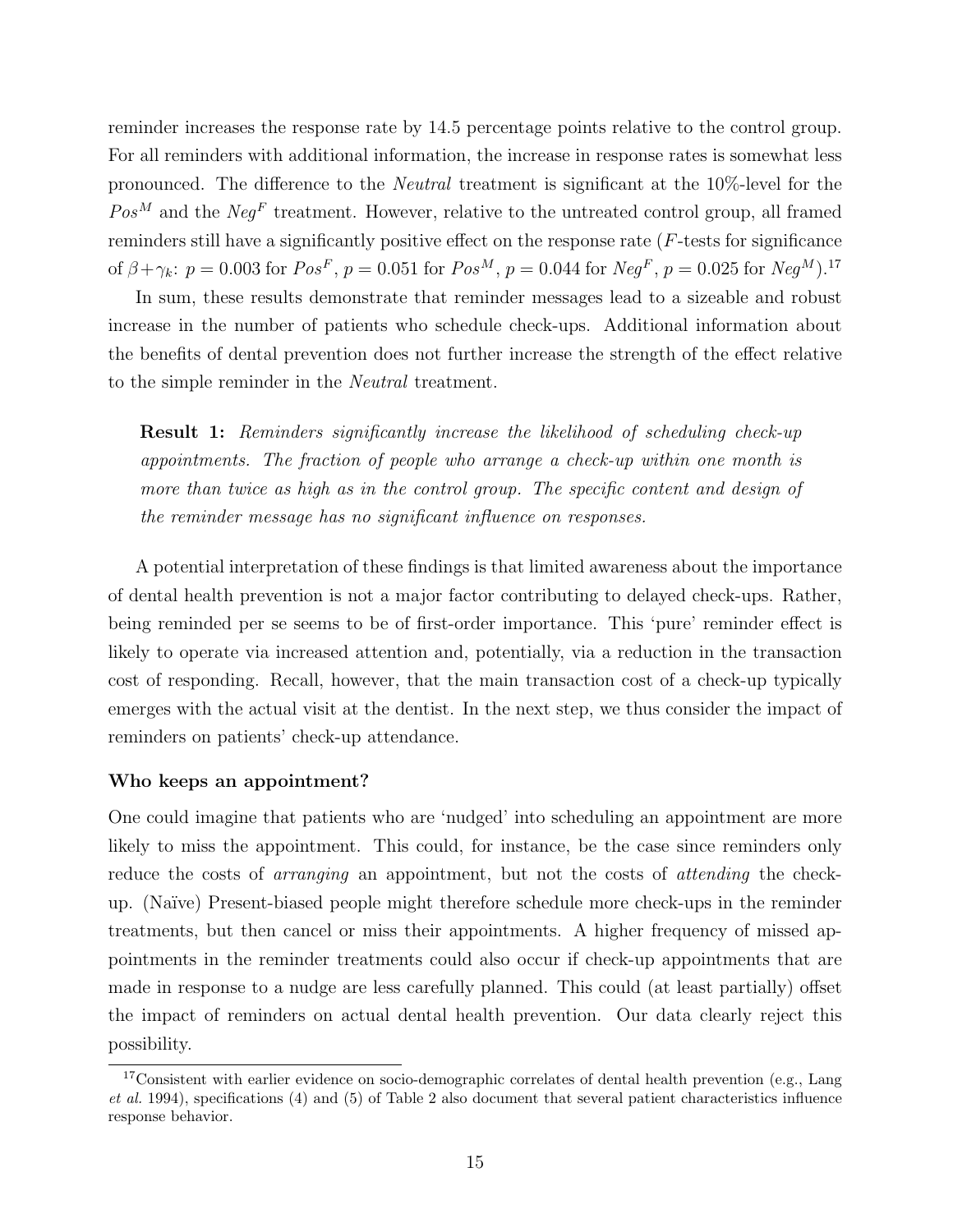reminder increases the response rate by 14.5 percentage points relative to the control group. For all reminders with additional information, the increase in response rates is somewhat less pronounced. The difference to the *Neutral* treatment is significant at the 10%-level for the  $Pos^M$  and the  $Neg^F$  treatment. However, relative to the untreated control group, all framed reminders still have a significantly positive effect on the response rate (*F*-tests for significance of  $\beta + \gamma_k$ :  $p = 0.003$  for  $Pos^F$ ,  $p = 0.051$  for  $Pos^M$ ,  $p = 0.044$  for  $Neg^F$ ,  $p = 0.025$  for  $Neg^M$ ).<sup>17</sup>

In sum, these results demonstrate that reminder messages lead to a sizeable and robust increase in the number of patients who schedule check-ups. Additional information about the benefits of dental prevention does not further increase the strength of the effect relative to the simple reminder in the *Neutral* treatment.

**Result 1:** *Reminders significantly increase the likelihood of scheduling check-up appointments. The fraction of people who arrange a check-up within one month is more than twice as high as in the control group. The specific content and design of the reminder message has no significant influence on responses.*

A potential interpretation of these findings is that limited awareness about the importance of dental health prevention is not a major factor contributing to delayed check-ups. Rather, being reminded per se seems to be of first-order importance. This 'pure' reminder effect is likely to operate via increased attention and, potentially, via a reduction in the transaction cost of responding. Recall, however, that the main transaction cost of a check-up typically emerges with the actual visit at the dentist. In the next step, we thus consider the impact of reminders on patients' check-up attendance.

#### **Who keeps an appointment?**

One could imagine that patients who are 'nudged' into scheduling an appointment are more likely to miss the appointment. This could, for instance, be the case since reminders only reduce the costs of *arranging* an appointment, but not the costs of *attending* the checkup. (Na¨ıve) Present-biased people might therefore schedule more check-ups in the reminder treatments, but then cancel or miss their appointments. A higher frequency of missed appointments in the reminder treatments could also occur if check-up appointments that are made in response to a nudge are less carefully planned. This could (at least partially) offset the impact of reminders on actual dental health prevention. Our data clearly reject this possibility.

<sup>&</sup>lt;sup>17</sup>Consistent with earlier evidence on socio-demographic correlates of dental health prevention (e.g., Lang *et al.* 1994), specifications (4) and (5) of Table 2 also document that several patient characteristics influence response behavior.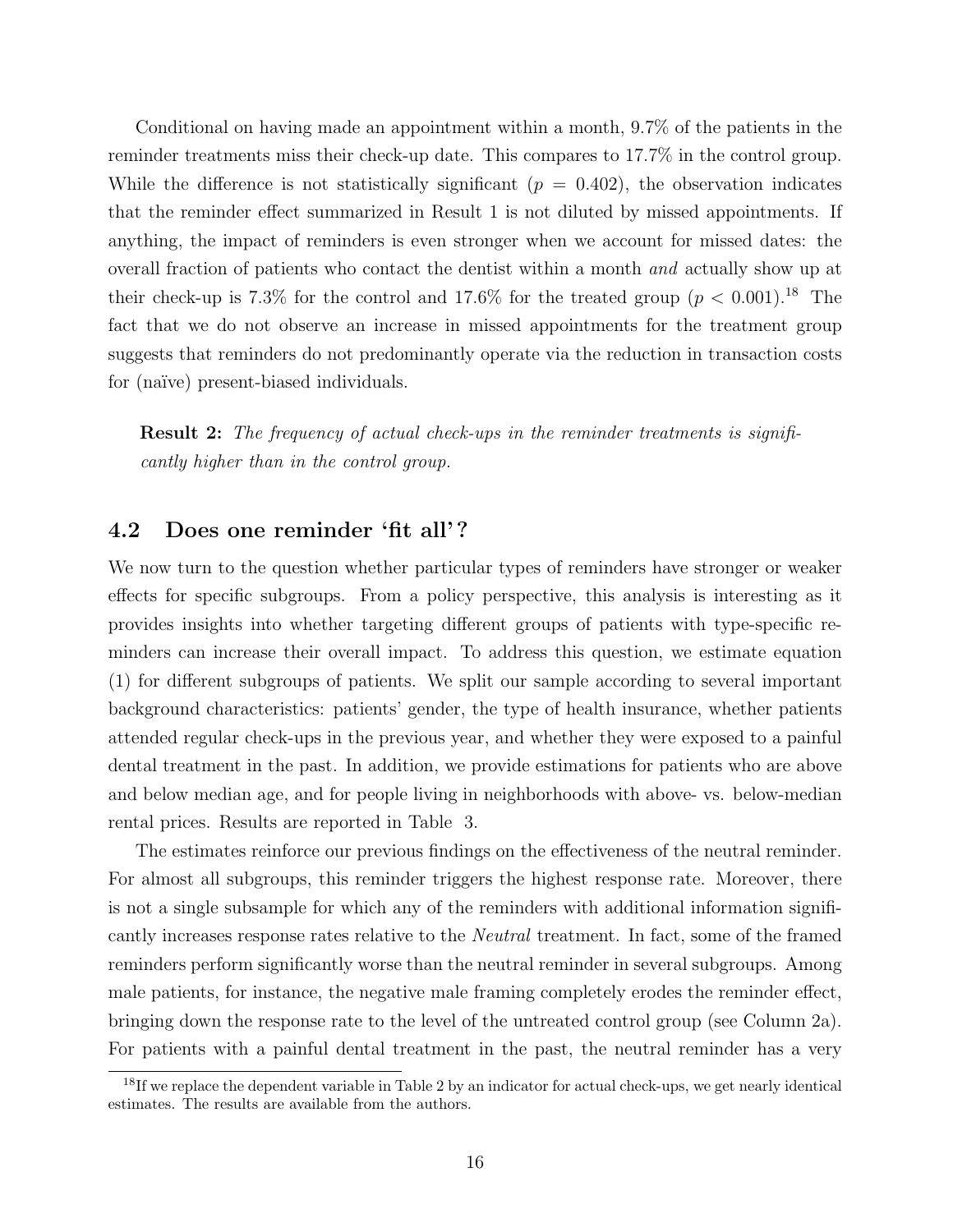Conditional on having made an appointment within a month, 9.7% of the patients in the reminder treatments miss their check-up date. This compares to 17.7% in the control group. While the difference is not statistically significant  $(p = 0.402)$ , the observation indicates that the reminder effect summarized in Result 1 is not diluted by missed appointments. If anything, the impact of reminders is even stronger when we account for missed dates: the overall fraction of patients who contact the dentist within a month *and* actually show up at their check-up is 7.3% for the control and 17.6% for the treated group  $(p < 0.001)$ .<sup>18</sup> The fact that we do not observe an increase in missed appointments for the treatment group suggests that reminders do not predominantly operate via the reduction in transaction costs for (naïve) present-biased individuals.

**Result 2:** *The frequency of actual check-ups in the reminder treatments is significantly higher than in the control group.*

#### **4.2 Does one reminder 'fit all' ?**

We now turn to the question whether particular types of reminders have stronger or weaker effects for specific subgroups. From a policy perspective, this analysis is interesting as it provides insights into whether targeting different groups of patients with type-specific reminders can increase their overall impact. To address this question, we estimate equation (1) for different subgroups of patients. We split our sample according to several important background characteristics: patients' gender, the type of health insurance, whether patients attended regular check-ups in the previous year, and whether they were exposed to a painful dental treatment in the past. In addition, we provide estimations for patients who are above and below median age, and for people living in neighborhoods with above- vs. below-median rental prices. Results are reported in Table 3.

The estimates reinforce our previous findings on the effectiveness of the neutral reminder. For almost all subgroups, this reminder triggers the highest response rate. Moreover, there is not a single subsample for which any of the reminders with additional information significantly increases response rates relative to the *Neutral* treatment. In fact, some of the framed reminders perform significantly worse than the neutral reminder in several subgroups. Among male patients, for instance, the negative male framing completely erodes the reminder effect, bringing down the response rate to the level of the untreated control group (see Column 2a). For patients with a painful dental treatment in the past, the neutral reminder has a very

<sup>&</sup>lt;sup>18</sup>If we replace the dependent variable in Table 2 by an indicator for actual check-ups, we get nearly identical estimates. The results are available from the authors.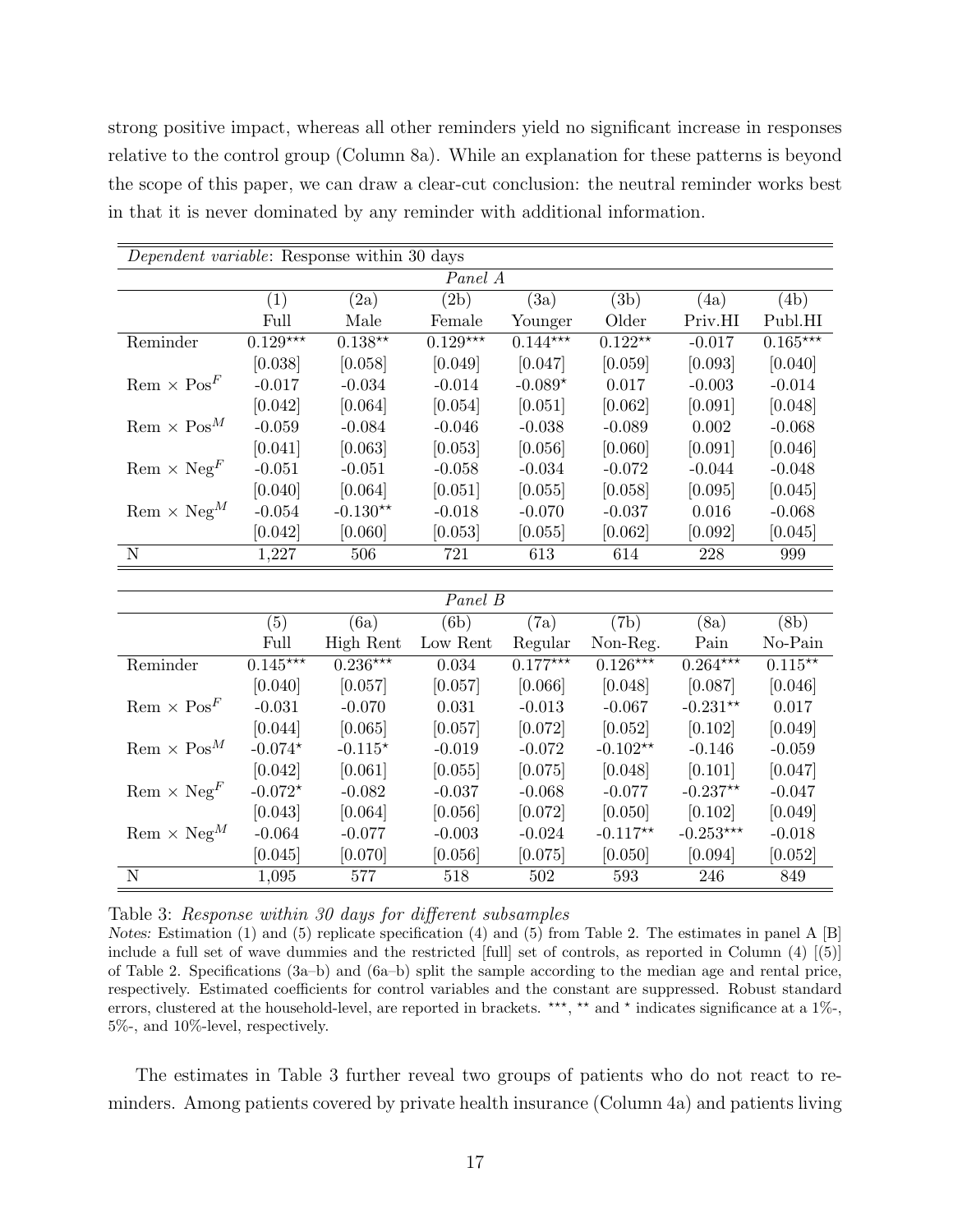strong positive impact, whereas all other reminders yield no significant increase in responses relative to the control group (Column 8a). While an explanation for these patterns is beyond the scope of this paper, we can draw a clear-cut conclusion: the neutral reminder works best in that it is never dominated by any reminder with additional information.

| <i>Dependent variable:</i> Response within 30 days |                   |            |            |            |           |          |            |
|----------------------------------------------------|-------------------|------------|------------|------------|-----------|----------|------------|
| Panel A                                            |                   |            |            |            |           |          |            |
|                                                    | $\left( 1\right)$ | (2a)       | (2b)       | (3a)       | (3b)      | (4a)     | (4b)       |
|                                                    | Full              | Male       | Female     | Younger    | Older     | Priv.HI  | Publ.HI    |
| Reminder                                           | $0.129***$        | $0.138**$  | $0.129***$ | $0.144***$ | $0.122**$ | $-0.017$ | $0.165***$ |
|                                                    | [0.038]           | [0.058]    | [0.049]    | [0.047]    | [0.059]   | [0.093]  | [0.040]    |
| $\text{Rem} \times \text{Pos}^F$                   | $-0.017$          | $-0.034$   | $-0.014$   | $-0.089*$  | 0.017     | $-0.003$ | $-0.014$   |
|                                                    | [0.042]           | [0.064]    | [0.054]    | [0.051]    | [0.062]   | [0.091]  | [0.048]    |
| $\text{Rem} \times \text{Pos}^M$                   | $-0.059$          | $-0.084$   | $-0.046$   | $-0.038$   | $-0.089$  | 0.002    | $-0.068$   |
|                                                    | [0.041]           | [0.063]    | [0.053]    | [0.056]    | [0.060]   | [0.091]  | [0.046]    |
| $\text{Rem} \times \text{Neg}^F$                   | $-0.051$          | $-0.051$   | $-0.058$   | $-0.034$   | $-0.072$  | $-0.044$ | $-0.048$   |
|                                                    | [0.040]           | [0.064]    | [0.051]    | [0.055]    | [0.058]   | [0.095]  | [0.045]    |
| Rem $\times$ Neg <sup>M</sup>                      | $-0.054$          | $-0.130**$ | $-0.018$   | $-0.070$   | $-0.037$  | 0.016    | $-0.068$   |
|                                                    | [0.042]           | [0.060]    | [0.053]    | [0.055]    | [0.062]   | [0.092]  | [0.045]    |
| N                                                  | 1,227             | 506        | 721        | 613        | 614       | 228      | 999        |

|                                  |            |            | Panel B  |            |            |             |           |
|----------------------------------|------------|------------|----------|------------|------------|-------------|-----------|
|                                  | (5)        | (6a)       | (6b)     | (7a)       | (7b)       | (8a)        | (8b)      |
|                                  | Full       | High Rent  | Low Rent | Regular    | Non-Reg.   | Pain        | No-Pain   |
| Reminder                         | $0.145***$ | $0.236***$ | 0.034    | $0.177***$ | $0.126***$ | $0.264***$  | $0.115**$ |
|                                  | [0.040]    | [0.057]    | [0.057]  | [0.066]    | [0.048]    | [0.087]     | [0.046]   |
| $\text{Rem} \times \text{Pos}^F$ | $-0.031$   | $-0.070$   | 0.031    | $-0.013$   | $-0.067$   | $-0.231**$  | 0.017     |
|                                  | [0.044]    | [0.065]    | [0.057]  | [0.072]    | [0.052]    | [0.102]     | [0.049]   |
| $\text{Rem} \times \text{Pos}^M$ | $-0.074*$  | $-0.115*$  | $-0.019$ | $-0.072$   | $-0.102**$ | $-0.146$    | $-0.059$  |
|                                  | [0.042]    | [0.061]    | [0.055]  | [0.075]    | [0.048]    | [0.101]     | [0.047]   |
| $\text{Rem} \times \text{Neg}^F$ | $-0.072*$  | $-0.082$   | $-0.037$ | $-0.068$   | $-0.077$   | $-0.237**$  | $-0.047$  |
|                                  | [0.043]    | [0.064]    | [0.056]  | [0.072]    | [0.050]    | [0.102]     | [0.049]   |
| $\text{Rem} \times \text{Neg}^M$ | $-0.064$   | $-0.077$   | $-0.003$ | $-0.024$   | $-0.117**$ | $-0.253***$ | $-0.018$  |
|                                  | [0.045]    | [0.070]    | [0.056]  | [0.075]    | [0.050]    | [0.094]     | [0.052]   |
| N                                | 1,095      | 577        | 518      | 502        | 593        | 246         | 849       |

Table 3: *Response within 30 days for different subsamples*

*Notes:* Estimation (1) and (5) replicate specification (4) and (5) from Table 2. The estimates in panel A [B] include a full set of wave dummies and the restricted [full] set of controls, as reported in Column (4) [(5)] of Table 2. Specifications (3a–b) and (6a–b) split the sample according to the median age and rental price, respectively. Estimated coefficients for control variables and the constant are suppressed. Robust standard errors, clustered at the household-level, are reported in brackets. \*\*\*, \*\* and \* indicates significance at a 1%-, 5%-, and 10%-level, respectively.

The estimates in Table 3 further reveal two groups of patients who do not react to reminders. Among patients covered by private health insurance (Column 4a) and patients living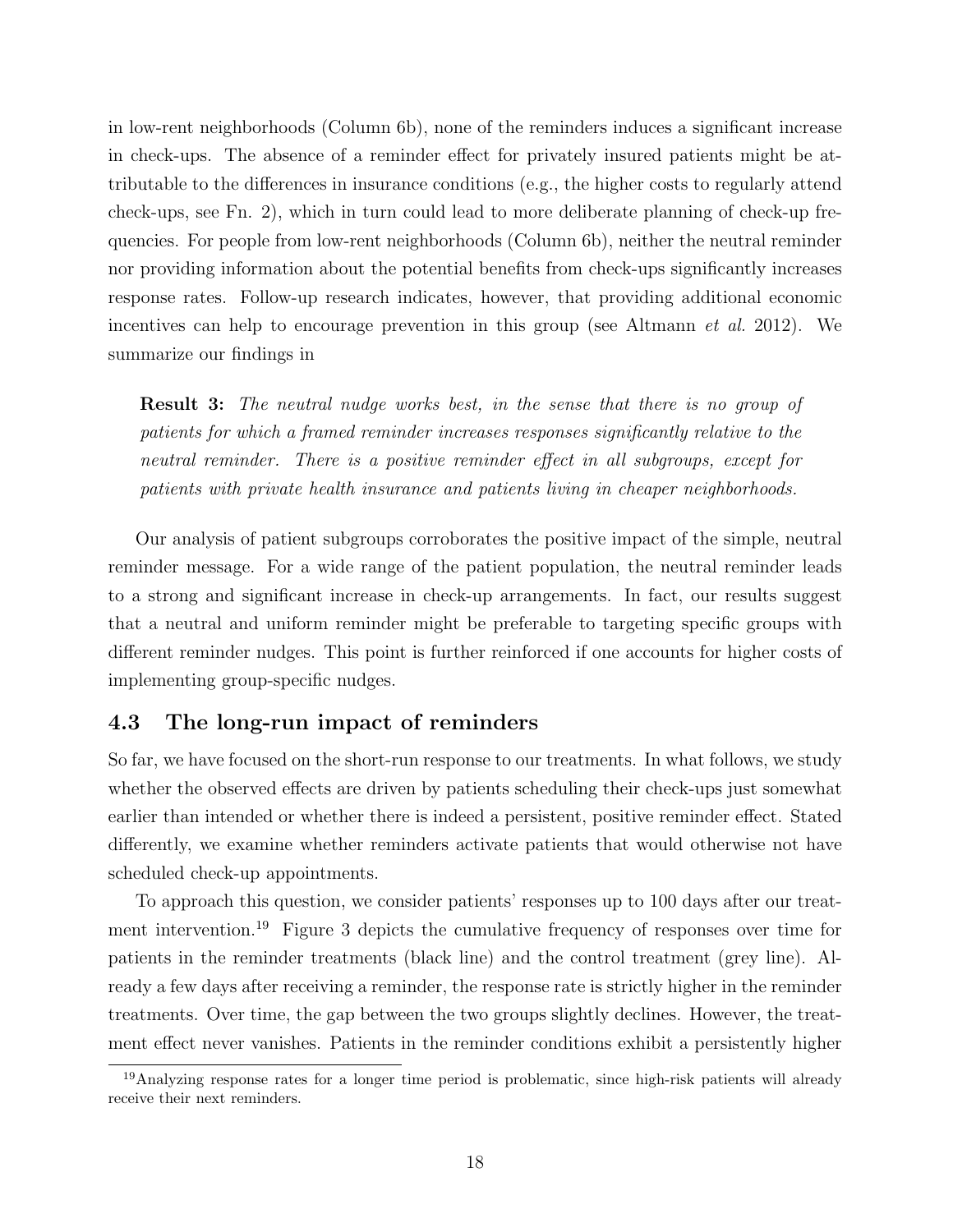in low-rent neighborhoods (Column 6b), none of the reminders induces a significant increase in check-ups. The absence of a reminder effect for privately insured patients might be attributable to the differences in insurance conditions (e.g., the higher costs to regularly attend check-ups, see Fn. 2), which in turn could lead to more deliberate planning of check-up frequencies. For people from low-rent neighborhoods (Column 6b), neither the neutral reminder nor providing information about the potential benefits from check-ups significantly increases response rates. Follow-up research indicates, however, that providing additional economic incentives can help to encourage prevention in this group (see Altmann *et al.* 2012). We summarize our findings in

**Result 3:** *The neutral nudge works best, in the sense that there is no group of patients for which a framed reminder increases responses significantly relative to the neutral reminder. There is a positive reminder effect in all subgroups, except for patients with private health insurance and patients living in cheaper neighborhoods.*

Our analysis of patient subgroups corroborates the positive impact of the simple, neutral reminder message. For a wide range of the patient population, the neutral reminder leads to a strong and significant increase in check-up arrangements. In fact, our results suggest that a neutral and uniform reminder might be preferable to targeting specific groups with different reminder nudges. This point is further reinforced if one accounts for higher costs of implementing group-specific nudges.

## **4.3 The long-run impact of reminders**

So far, we have focused on the short-run response to our treatments. In what follows, we study whether the observed effects are driven by patients scheduling their check-ups just somewhat earlier than intended or whether there is indeed a persistent, positive reminder effect. Stated differently, we examine whether reminders activate patients that would otherwise not have scheduled check-up appointments.

To approach this question, we consider patients' responses up to 100 days after our treatment intervention.<sup>19</sup> Figure 3 depicts the cumulative frequency of responses over time for patients in the reminder treatments (black line) and the control treatment (grey line). Already a few days after receiving a reminder, the response rate is strictly higher in the reminder treatments. Over time, the gap between the two groups slightly declines. However, the treatment effect never vanishes. Patients in the reminder conditions exhibit a persistently higher

<sup>&</sup>lt;sup>19</sup>Analyzing response rates for a longer time period is problematic, since high-risk patients will already receive their next reminders.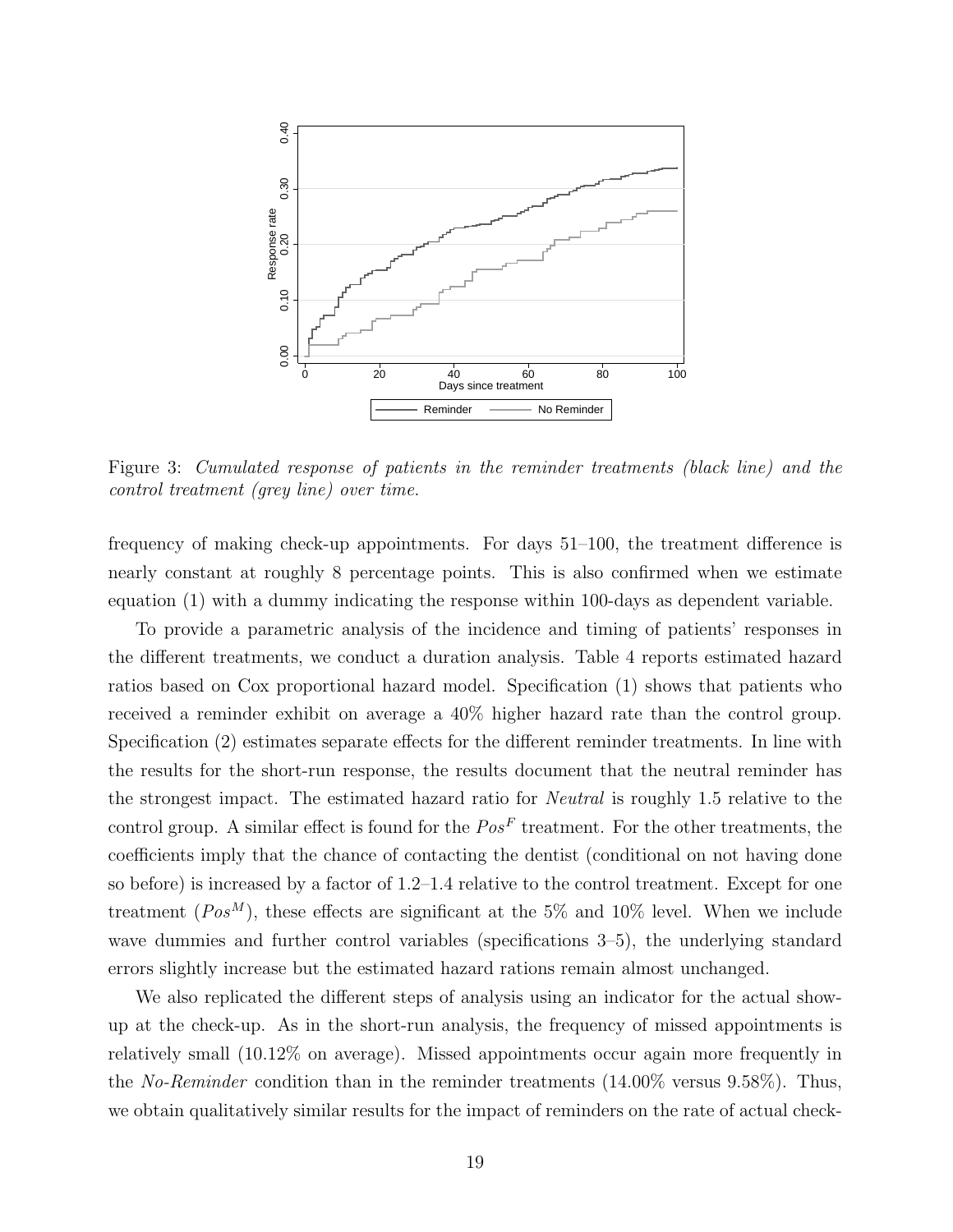

Figure 3: *Cumulated response of patients in the reminder treatments (black line) and the control treatment (grey line) over time.*

frequency of making check-up appointments. For days 51–100, the treatment difference is nearly constant at roughly 8 percentage points. This is also confirmed when we estimate equation (1) with a dummy indicating the response within 100-days as dependent variable.

To provide a parametric analysis of the incidence and timing of patients' responses in the different treatments, we conduct a duration analysis. Table 4 reports estimated hazard ratios based on Cox proportional hazard model. Specification (1) shows that patients who received a reminder exhibit on average a 40% higher hazard rate than the control group. Specification (2) estimates separate effects for the different reminder treatments. In line with the results for the short-run response, the results document that the neutral reminder has the strongest impact. The estimated hazard ratio for *Neutral* is roughly 1.5 relative to the control group. A similar effect is found for the *Pos<sup>F</sup>* treatment. For the other treatments, the coefficients imply that the chance of contacting the dentist (conditional on not having done so before) is increased by a factor of 1.2–1.4 relative to the control treatment. Except for one treatment (*Pos<sup>M</sup>*), these effects are significant at the 5% and 10% level. When we include wave dummies and further control variables (specifications 3–5), the underlying standard errors slightly increase but the estimated hazard rations remain almost unchanged.

We also replicated the different steps of analysis using an indicator for the actual showup at the check-up. As in the short-run analysis, the frequency of missed appointments is relatively small (10.12% on average). Missed appointments occur again more frequently in the *No-Reminder* condition than in the reminder treatments (14.00% versus 9.58%). Thus, we obtain qualitatively similar results for the impact of reminders on the rate of actual check-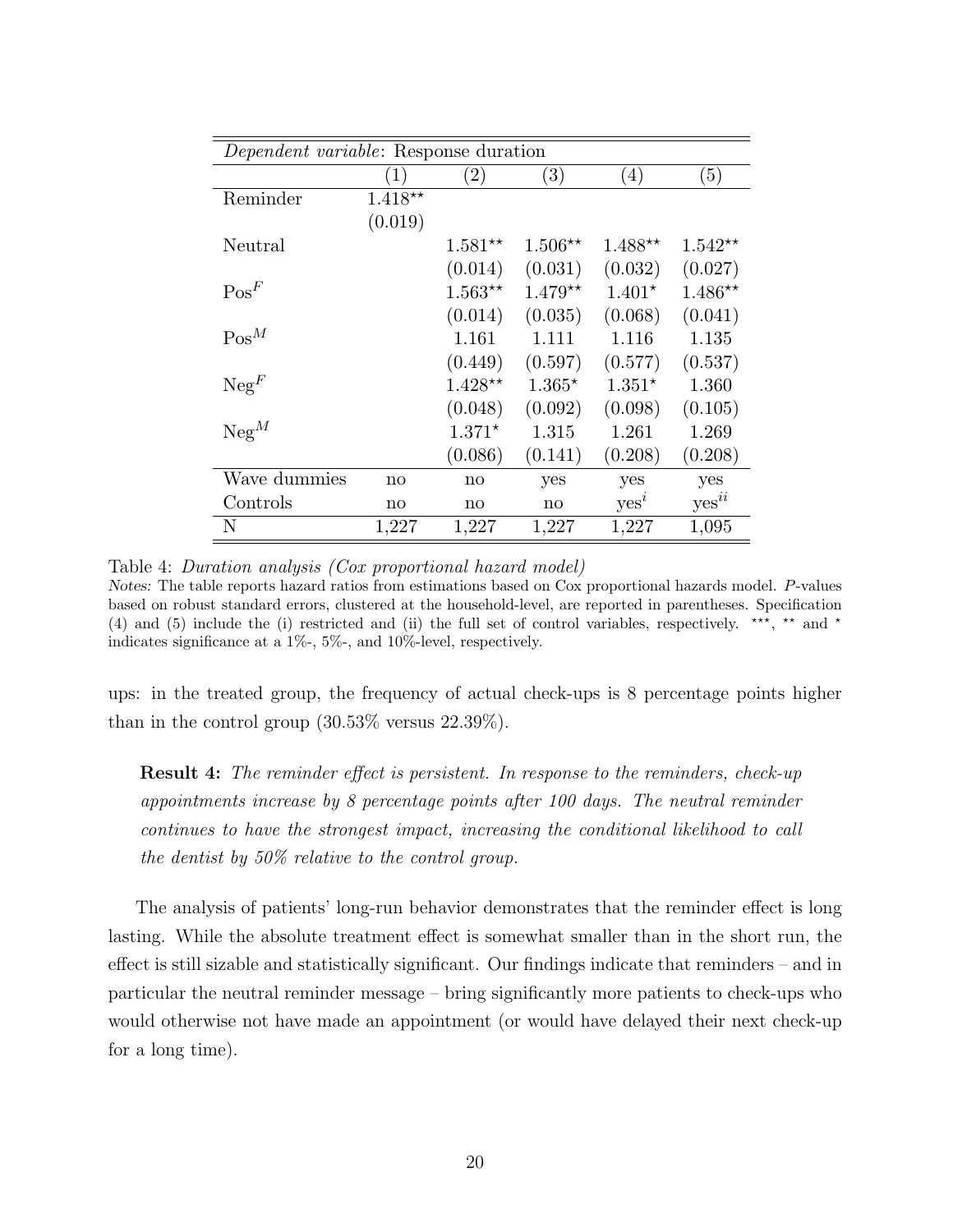| <i>Dependent variable:</i> Response duration |                  |                   |           |           |            |
|----------------------------------------------|------------------|-------------------|-----------|-----------|------------|
|                                              | $\left(1\right)$ | $\left( 2\right)$ | (3)       | (4)       | (5)        |
| Reminder                                     | $1.418**$        |                   |           |           |            |
|                                              | (0.019)          |                   |           |           |            |
| Neutral                                      |                  | $1.581**$         | $1.506**$ | $1.488**$ | $1.542**$  |
|                                              |                  | (0.014)           | (0.031)   | (0.032)   | (0.027)    |
| Pos <sup>F</sup>                             |                  | $1.563**$         | $1.479**$ | $1.401*$  | $1.486**$  |
|                                              |                  | (0.014)           | (0.035)   | (0.068)   | (0.041)    |
| $Pos^M$                                      |                  | 1.161             | 1.111     | 1.116     | 1.135      |
|                                              |                  | (0.449)           | (0.597)   | (0.577)   | (0.537)    |
| $Neg^F$                                      |                  | $1.428**$         | $1.365*$  | $1.351*$  | 1.360      |
|                                              |                  | (0.048)           | (0.092)   | (0.098)   | (0.105)    |
| $Neg^M$                                      |                  | $1.371*$          | 1.315     | 1.261     | 1.269      |
|                                              |                  | (0.086)           | (0.141)   | (0.208)   | (0.208)    |
| Wave dummies                                 | no               | no                | yes       | yes       | yes        |
| Controls                                     | no               | no                | no        | $yes^i$   | $yes^{ii}$ |
| N                                            | 1,227            | 1,227             | 1,227     | 1,227     | 1,095      |

Table 4: *Duration analysis (Cox proportional hazard model)*

*Notes:* The table reports hazard ratios from estimations based on Cox proportional hazards model. *P*-values based on robust standard errors, clustered at the household-level, are reported in parentheses. Specification (4) and (5) include the (i) restricted and (ii) the full set of control variables, respectively.  $***$ ,  $**$  and  $*$ indicates significance at a 1%-, 5%-, and 10%-level, respectively.

ups: in the treated group, the frequency of actual check-ups is 8 percentage points higher than in the control group (30.53% versus 22.39%).

**Result 4:** *The reminder effect is persistent. In response to the reminders, check-up appointments increase by 8 percentage points after 100 days. The neutral reminder continues to have the strongest impact, increasing the conditional likelihood to call the dentist by 50% relative to the control group.*

The analysis of patients' long-run behavior demonstrates that the reminder effect is long lasting. While the absolute treatment effect is somewhat smaller than in the short run, the effect is still sizable and statistically significant. Our findings indicate that reminders – and in particular the neutral reminder message – bring significantly more patients to check-ups who would otherwise not have made an appointment (or would have delayed their next check-up for a long time).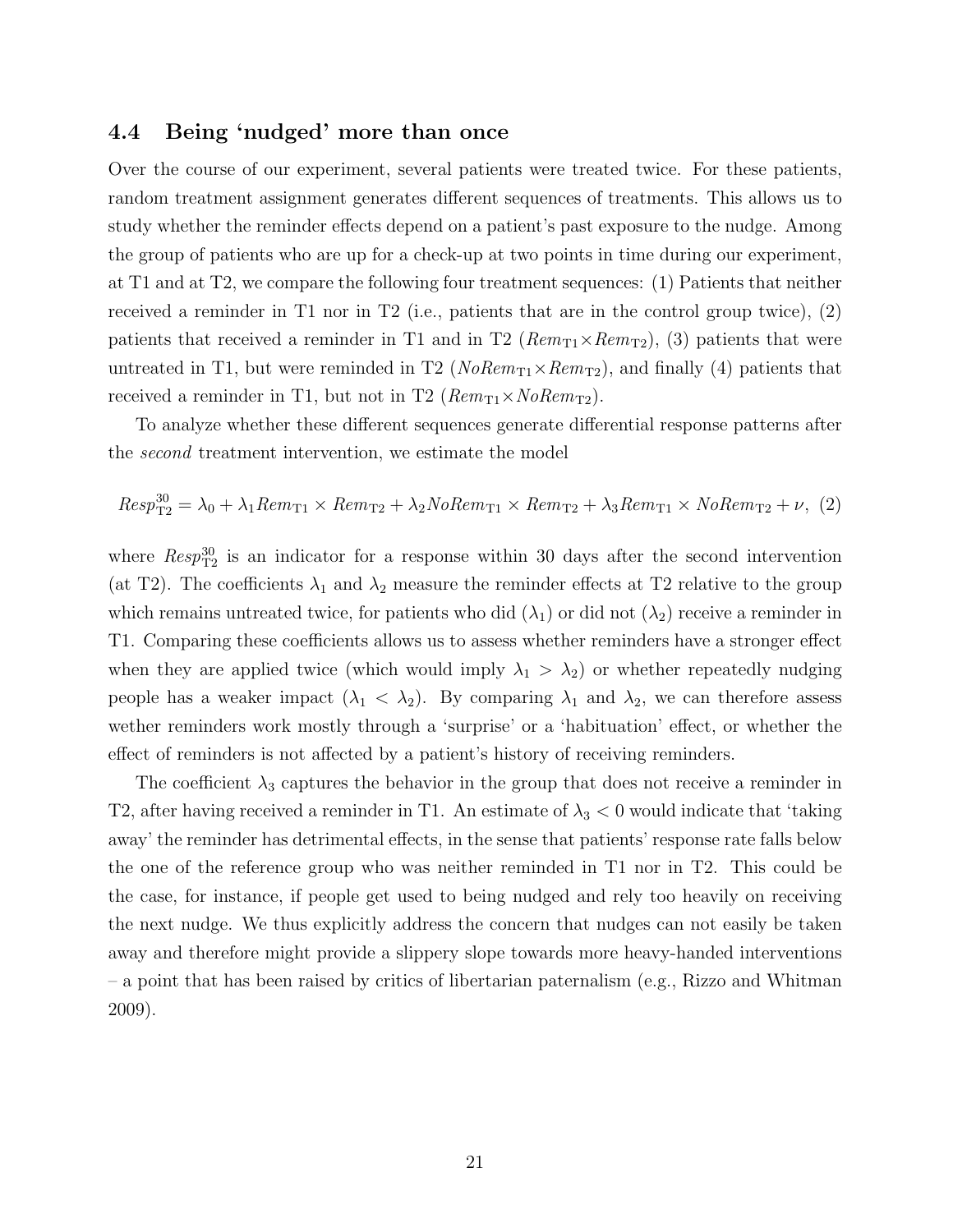### **4.4 Being 'nudged' more than once**

Over the course of our experiment, several patients were treated twice. For these patients, random treatment assignment generates different sequences of treatments. This allows us to study whether the reminder effects depend on a patient's past exposure to the nudge. Among the group of patients who are up for a check-up at two points in time during our experiment, at T1 and at T2, we compare the following four treatment sequences: (1) Patients that neither received a reminder in T1 nor in T2 (i.e., patients that are in the control group twice), (2) patients that received a reminder in T1 and in T2 ( $Rem_{T1} \times Rem_{T2}$ ), (3) patients that were untreated in T1, but were reminded in T2 ( $NoRem_{T1} \times Rem_{T2}$ ), and finally (4) patients that received a reminder in T1, but not in T2 ( $Rem_{T1} \times NoRem_{T2}$ ).

To analyze whether these different sequences generate differential response patterns after the *second* treatment intervention, we estimate the model

$$
Resp_{T2}^{30} = \lambda_0 + \lambda_1 Rem_{T1} \times Rem_{T2} + \lambda_2 NoRem_{T1} \times Rem_{T2} + \lambda_3 Rem_{T1} \times NoRem_{T2} + \nu, (2)
$$

where  $Resp_{T2}^{30}$  is an indicator for a response within 30 days after the second intervention (at T2). The coefficients  $\lambda_1$  and  $\lambda_2$  measure the reminder effects at T2 relative to the group which remains untreated twice, for patients who did  $(\lambda_1)$  or did not  $(\lambda_2)$  receive a reminder in T1. Comparing these coefficients allows us to assess whether reminders have a stronger effect when they are applied twice (which would imply  $\lambda_1 > \lambda_2$ ) or whether repeatedly nudging people has a weaker impact  $(\lambda_1 < \lambda_2)$ . By comparing  $\lambda_1$  and  $\lambda_2$ , we can therefore assess wether reminders work mostly through a 'surprise' or a 'habituation' effect, or whether the effect of reminders is not affected by a patient's history of receiving reminders.

The coefficient  $\lambda_3$  captures the behavior in the group that does not receive a reminder in T2, after having received a reminder in T1. An estimate of  $\lambda_3 < 0$  would indicate that 'taking away' the reminder has detrimental effects, in the sense that patients' response rate falls below the one of the reference group who was neither reminded in T1 nor in T2. This could be the case, for instance, if people get used to being nudged and rely too heavily on receiving the next nudge. We thus explicitly address the concern that nudges can not easily be taken away and therefore might provide a slippery slope towards more heavy-handed interventions – a point that has been raised by critics of libertarian paternalism (e.g., Rizzo and Whitman 2009).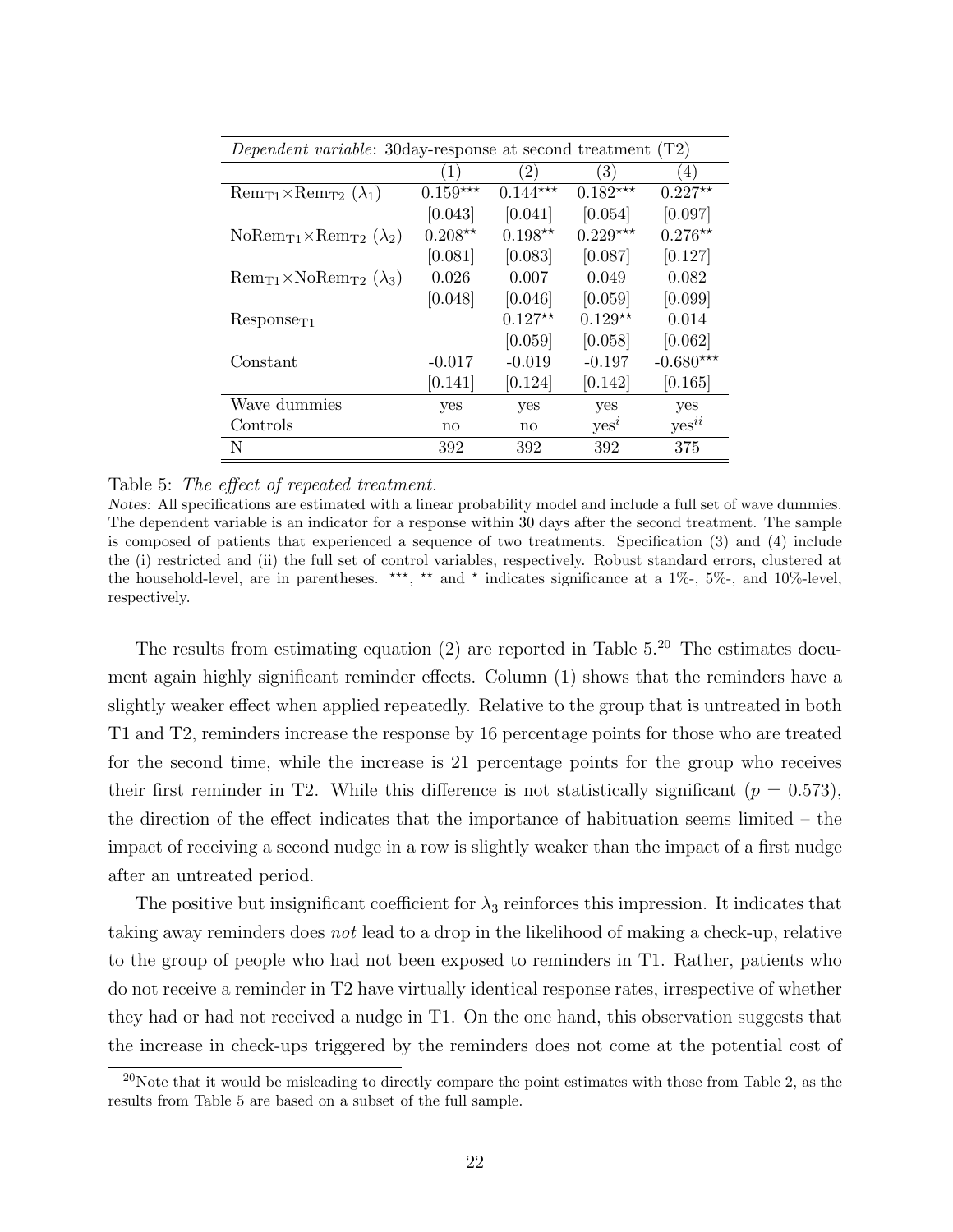| Dependent variable: 30 day-response at second treatment $(T2)$ |                        |                   |                   |                  |
|----------------------------------------------------------------|------------------------|-------------------|-------------------|------------------|
|                                                                | $\left(1\right)$       | $\left( 2\right)$ | $\left( 3\right)$ | $\left(4\right)$ |
| $\text{Rem}_{T1} \times \text{Rem}_{T2} (\lambda_1)$           | $0.159***$             | $0.144***$        | $0.182***$        | $0.227**$        |
|                                                                | [0.043]                | [0.041]           | [0.054]           | [0.097]          |
| $NoRem_{T1} \times Rem_{T2} (\lambda_2)$                       | $0.208**$              | $0.198**$         | $0.229***$        | $0.276**$        |
|                                                                | [0.081]                | [0.083]           | [0.087]           | [0.127]          |
| $\text{Rem}_{T1} \times \text{NoRem}_{T2} (\lambda_3)$         | 0.026                  | 0.007             | 0.049             | 0.082            |
|                                                                | [0.048]                | [0.046]           | [0.059]           | [0.099]          |
| Responser <sub>1</sub>                                         |                        | $0.127**$         | $0.129**$         | 0.014            |
|                                                                |                        | [0.059]           | [0.058]           | [0.062]          |
| Constant                                                       | $-0.017$               | $-0.019$          | $-0.197$          | $-0.680***$      |
|                                                                | [0.141]                | [0.124]           | [0.142]           | [0.165]          |
| Wave dummies                                                   | yes                    | yes               | yes               | yes              |
| Controls                                                       | $\mathbf{n}\mathbf{o}$ | no                | $yes^i$           | $yes^{ii}$       |
| N                                                              | 392                    | 392               | 392               | 375              |

#### Table 5: *The effect of repeated treatment.*

*Notes:* All specifications are estimated with a linear probability model and include a full set of wave dummies. The dependent variable is an indicator for a response within 30 days after the second treatment. The sample is composed of patients that experienced a sequence of two treatments. Specification (3) and (4) include the (i) restricted and (ii) the full set of control variables, respectively. Robust standard errors, clustered at the household-level, are in parentheses. \*\*\*, \*\* and \* indicates significance at a 1%-, 5%-, and 10%-level, respectively.

The results from estimating equation (2) are reported in Table  $5.^{20}$ . The estimates document again highly significant reminder effects. Column (1) shows that the reminders have a slightly weaker effect when applied repeatedly. Relative to the group that is untreated in both T1 and T2, reminders increase the response by 16 percentage points for those who are treated for the second time, while the increase is 21 percentage points for the group who receives their first reminder in T2. While this difference is not statistically significant  $(p = 0.573)$ , the direction of the effect indicates that the importance of habituation seems limited – the impact of receiving a second nudge in a row is slightly weaker than the impact of a first nudge after an untreated period.

The positive but insignificant coefficient for  $\lambda_3$  reinforces this impression. It indicates that taking away reminders does *not* lead to a drop in the likelihood of making a check-up, relative to the group of people who had not been exposed to reminders in T1. Rather, patients who do not receive a reminder in T2 have virtually identical response rates, irrespective of whether they had or had not received a nudge in T1. On the one hand, this observation suggests that the increase in check-ups triggered by the reminders does not come at the potential cost of

<sup>&</sup>lt;sup>20</sup>Note that it would be misleading to directly compare the point estimates with those from Table 2, as the results from Table 5 are based on a subset of the full sample.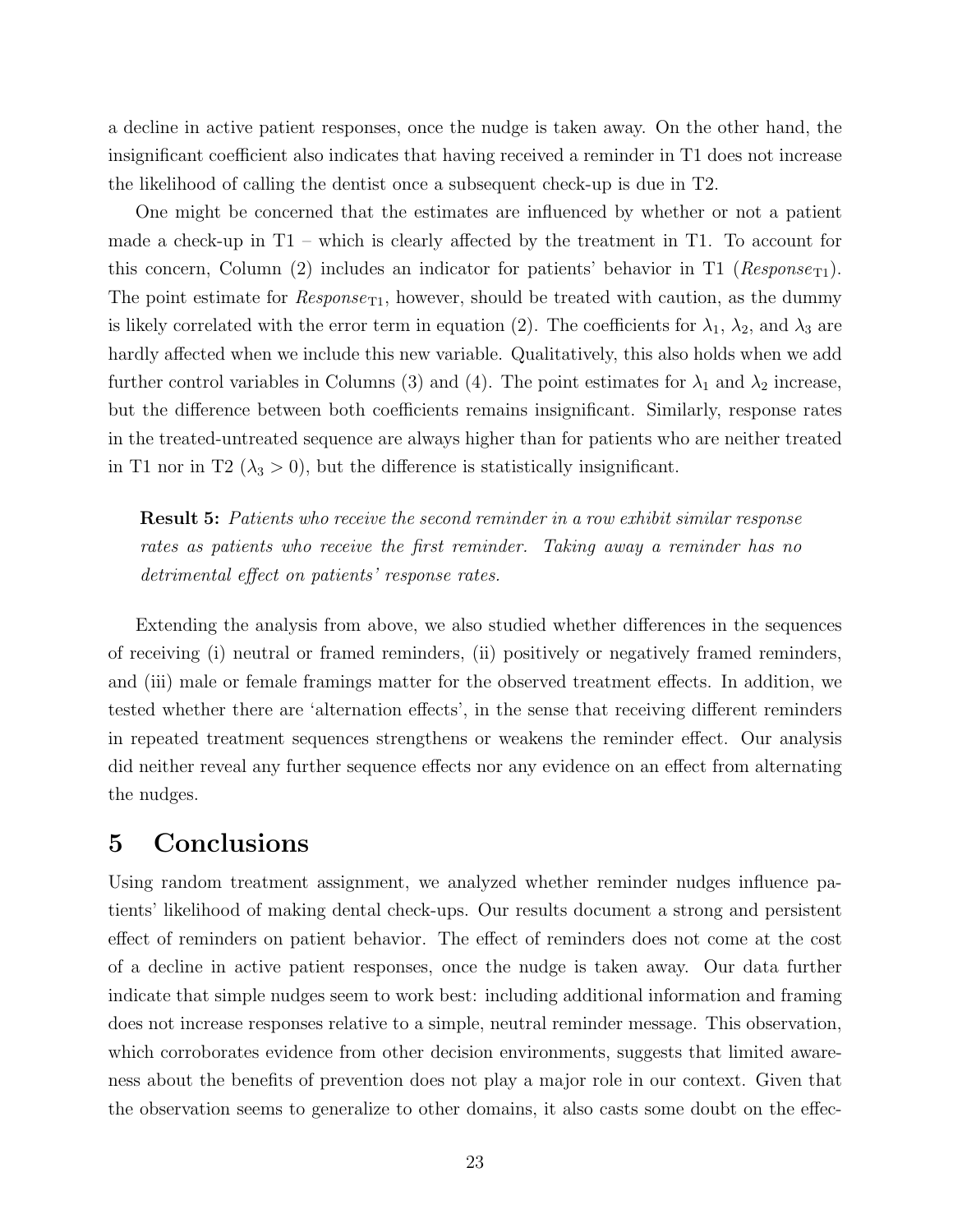a decline in active patient responses, once the nudge is taken away. On the other hand, the insignificant coefficient also indicates that having received a reminder in T1 does not increase the likelihood of calling the dentist once a subsequent check-up is due in T2.

One might be concerned that the estimates are influenced by whether or not a patient made a check-up in T1 – which is clearly affected by the treatment in T1. To account for this concern, Column (2) includes an indicator for patients' behavior in T1 ( $\text{Response}_{T1}$ ). The point estimate for  $Response_{T1}$ , however, should be treated with caution, as the dummy is likely correlated with the error term in equation (2). The coefficients for  $\lambda_1$ ,  $\lambda_2$ , and  $\lambda_3$  are hardly affected when we include this new variable. Qualitatively, this also holds when we add further control variables in Columns (3) and (4). The point estimates for  $\lambda_1$  and  $\lambda_2$  increase, but the difference between both coefficients remains insignificant. Similarly, response rates in the treated-untreated sequence are always higher than for patients who are neither treated in T1 nor in T2 ( $\lambda_3 > 0$ ), but the difference is statistically insignificant.

**Result 5:** *Patients who receive the second reminder in a row exhibit similar response rates as patients who receive the first reminder. Taking away a reminder has no detrimental effect on patients' response rates.*

Extending the analysis from above, we also studied whether differences in the sequences of receiving (i) neutral or framed reminders, (ii) positively or negatively framed reminders, and (iii) male or female framings matter for the observed treatment effects. In addition, we tested whether there are 'alternation effects', in the sense that receiving different reminders in repeated treatment sequences strengthens or weakens the reminder effect. Our analysis did neither reveal any further sequence effects nor any evidence on an effect from alternating the nudges.

# **5 Conclusions**

Using random treatment assignment, we analyzed whether reminder nudges influence patients' likelihood of making dental check-ups. Our results document a strong and persistent effect of reminders on patient behavior. The effect of reminders does not come at the cost of a decline in active patient responses, once the nudge is taken away. Our data further indicate that simple nudges seem to work best: including additional information and framing does not increase responses relative to a simple, neutral reminder message. This observation, which corroborates evidence from other decision environments, suggests that limited awareness about the benefits of prevention does not play a major role in our context. Given that the observation seems to generalize to other domains, it also casts some doubt on the effec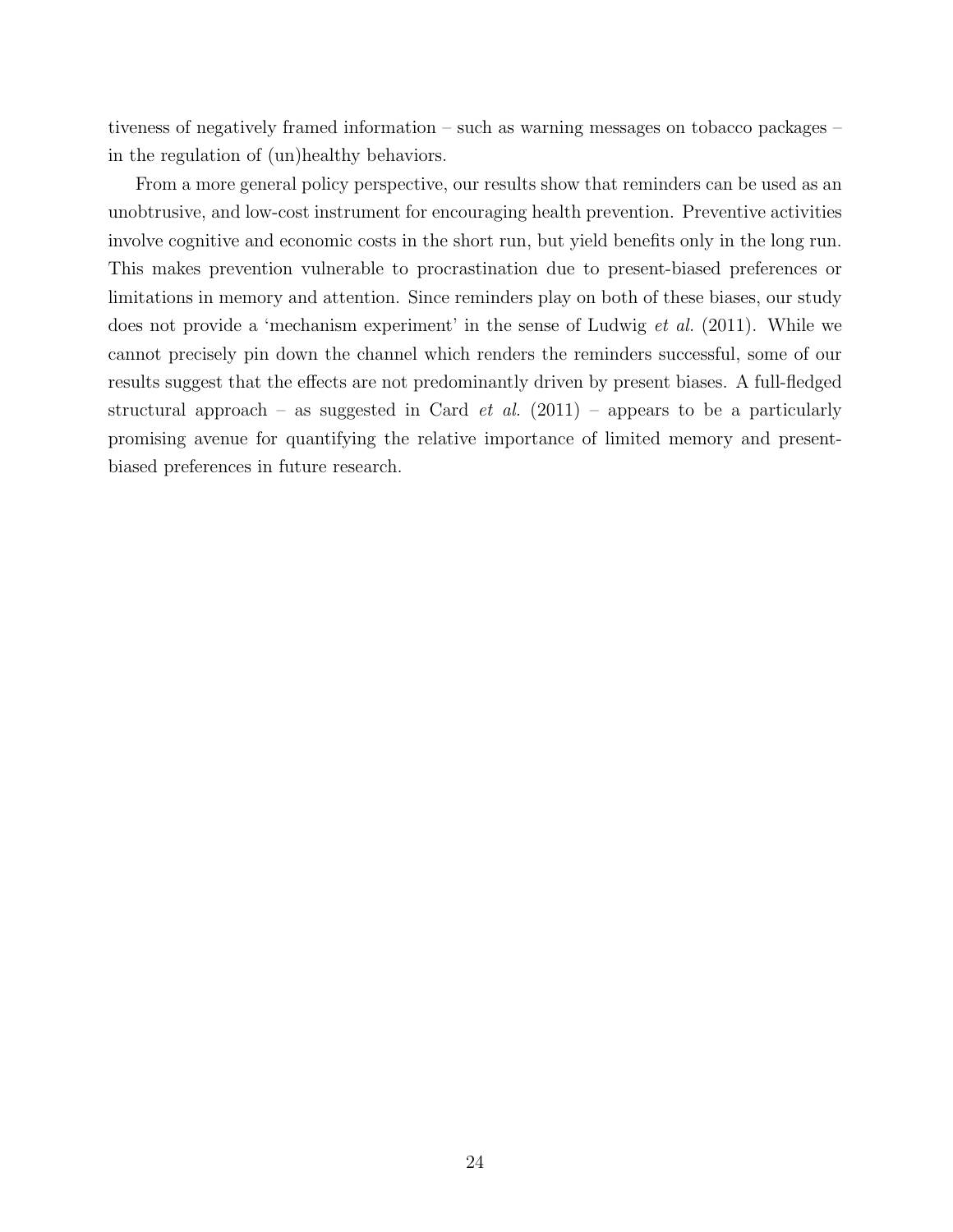tiveness of negatively framed information – such as warning messages on tobacco packages – in the regulation of (un)healthy behaviors.

From a more general policy perspective, our results show that reminders can be used as an unobtrusive, and low-cost instrument for encouraging health prevention. Preventive activities involve cognitive and economic costs in the short run, but yield benefits only in the long run. This makes prevention vulnerable to procrastination due to present-biased preferences or limitations in memory and attention. Since reminders play on both of these biases, our study does not provide a 'mechanism experiment' in the sense of Ludwig *et al.* (2011). While we cannot precisely pin down the channel which renders the reminders successful, some of our results suggest that the effects are not predominantly driven by present biases. A full-fledged structural approach – as suggested in Card *et al.*  $(2011)$  – appears to be a particularly promising avenue for quantifying the relative importance of limited memory and presentbiased preferences in future research.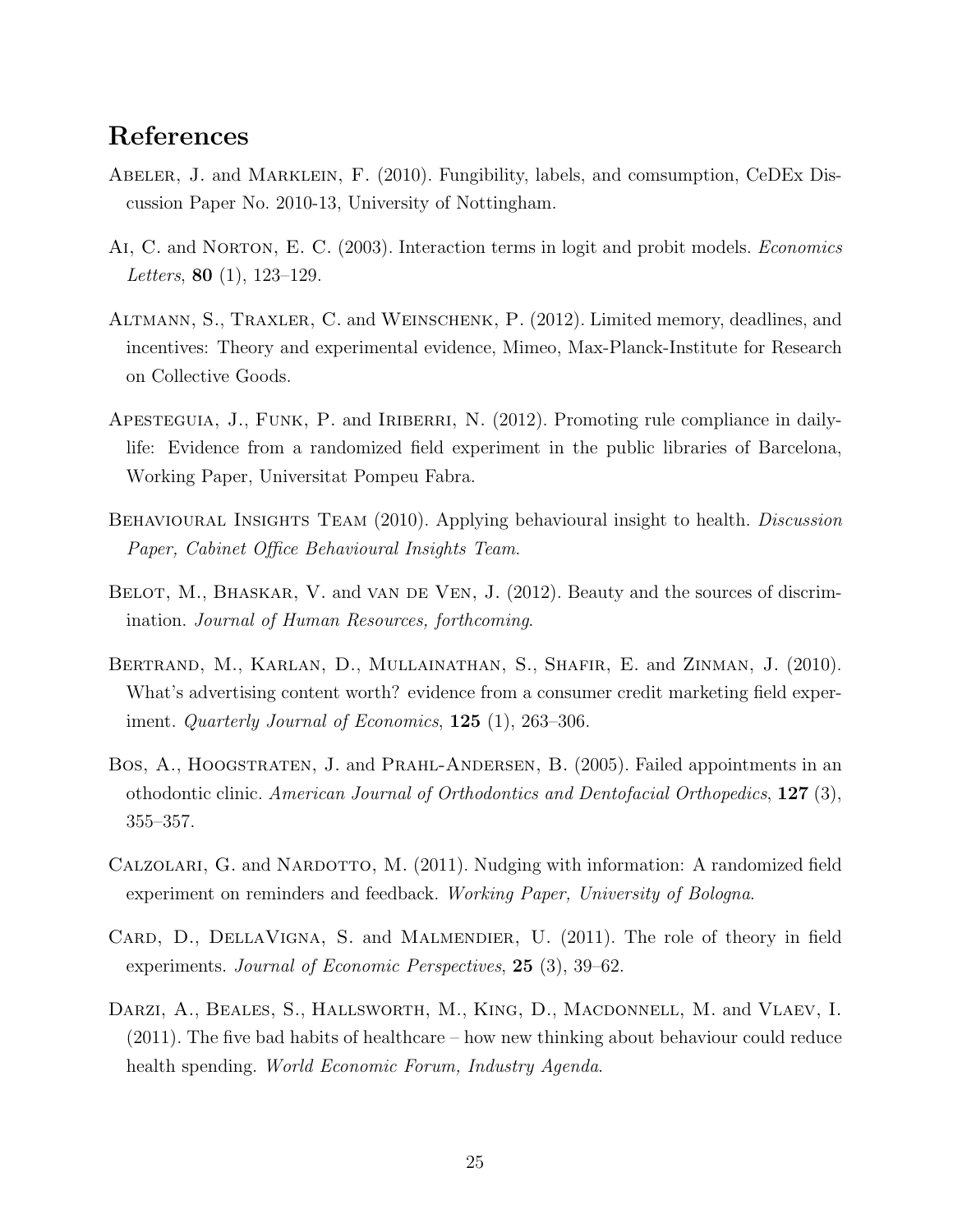# **References**

- ABELER, J. and MARKLEIN, F. (2010). Fungibility, labels, and comsumption, CeDEx Discussion Paper No. 2010-13, University of Nottingham.
- Ai, C. and Norton, E. C. (2003). Interaction terms in logit and probit models. *Economics Letters*, **80** (1), 123–129.
- Altmann, S., Traxler, C. and Weinschenk, P. (2012). Limited memory, deadlines, and incentives: Theory and experimental evidence, Mimeo, Max-Planck-Institute for Research on Collective Goods.
- APESTEGUIA, J., FUNK, P. and IRIBERRI, N. (2012). Promoting rule compliance in dailylife: Evidence from a randomized field experiment in the public libraries of Barcelona, Working Paper, Universitat Pompeu Fabra.
- Behavioural Insights Team (2010). Applying behavioural insight to health. *Discussion Paper, Cabinet Office Behavioural Insights Team*.
- BELOT, M., BHASKAR, V. and VAN DE VEN, J. (2012). Beauty and the sources of discrimination. *Journal of Human Resources, forthcoming*.
- Bertrand, M., Karlan, D., Mullainathan, S., Shafir, E. and Zinman, J. (2010). What's advertising content worth? evidence from a consumer credit marketing field experiment. *Quarterly Journal of Economics*, **125** (1), 263–306.
- Bos, A., HOOGSTRATEN, J. and PRAHL-ANDERSEN, B. (2005). Failed appointments in an othodontic clinic. *American Journal of Orthodontics and Dentofacial Orthopedics*, **127** (3), 355–357.
- CALZOLARI, G. and NARDOTTO, M. (2011). Nudging with information: A randomized field experiment on reminders and feedback. *Working Paper, University of Bologna*.
- CARD, D., DELLAVIGNA, S. and MALMENDIER, U. (2011). The role of theory in field experiments. *Journal of Economic Perspectives*, **25** (3), 39–62.
- Darzi, A., Beales, S., Hallsworth, M., King, D., Macdonnell, M. and Vlaev, I. (2011). The five bad habits of healthcare – how new thinking about behaviour could reduce health spending. *World Economic Forum, Industry Agenda*.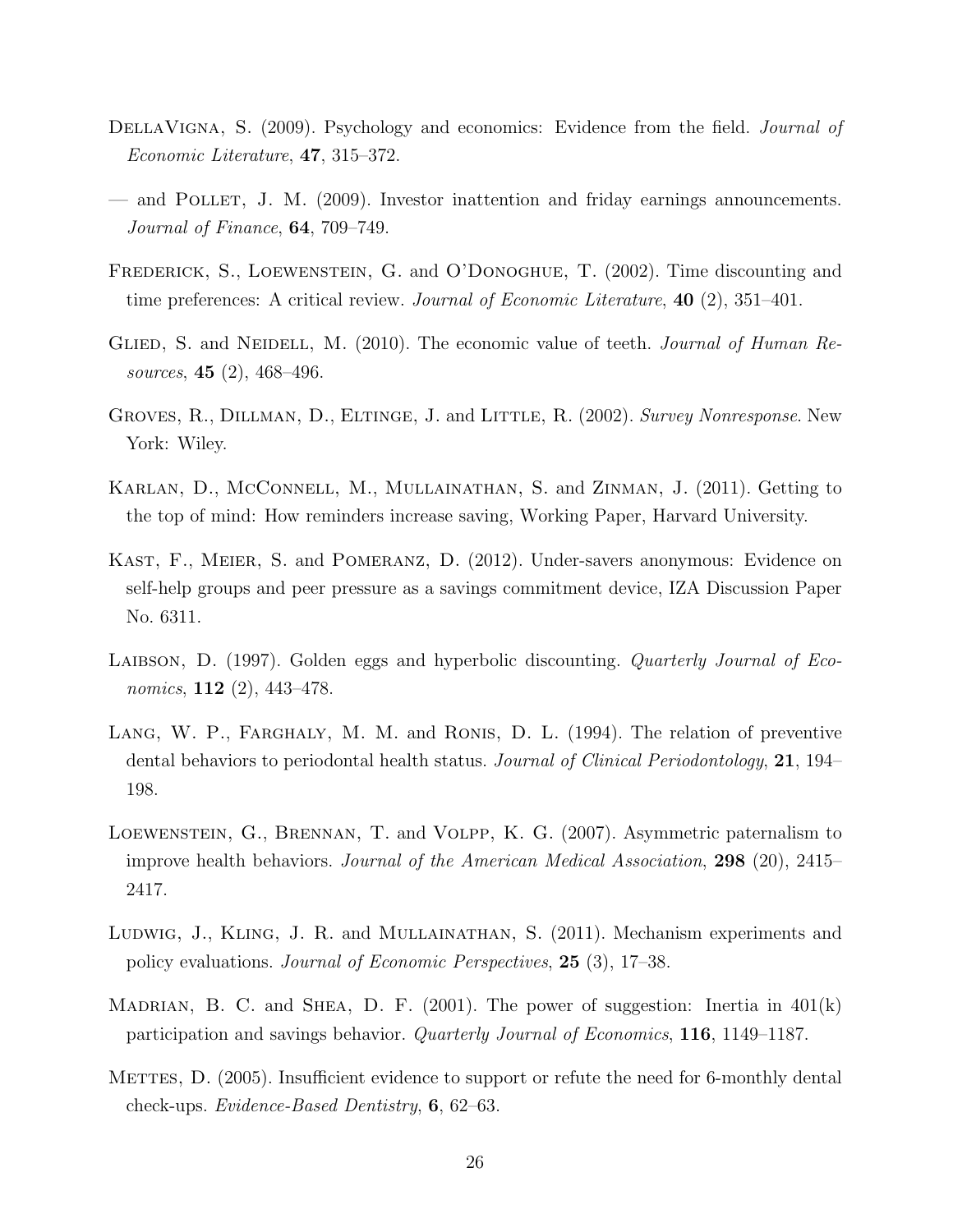- DellaVigna, S. (2009). Psychology and economics: Evidence from the field. *Journal of Economic Literature*, **47**, 315–372.
- and Pollet, J. M. (2009). Investor inattention and friday earnings announcements. *Journal of Finance*, **64**, 709–749.
- FREDERICK, S., LOEWENSTEIN, G. and O'DONOGHUE, T. (2002). Time discounting and time preferences: A critical review. *Journal of Economic Literature*, **40** (2), 351–401.
- GLIED, S. and NEIDELL, M. (2010). The economic value of teeth. *Journal of Human Resources*, **45** (2), 468–496.
- Groves, R., Dillman, D., Eltinge, J. and Little, R. (2002). *Survey Nonresponse*. New York: Wiley.
- Karlan, D., McConnell, M., Mullainathan, S. and Zinman, J. (2011). Getting to the top of mind: How reminders increase saving, Working Paper, Harvard University.
- KAST, F., MEIER, S. and POMERANZ, D. (2012). Under-savers anonymous: Evidence on self-help groups and peer pressure as a savings commitment device, IZA Discussion Paper No. 6311.
- Laibson, D. (1997). Golden eggs and hyperbolic discounting. *Quarterly Journal of Economics*, **112** (2), 443–478.
- LANG, W. P., FARGHALY, M. M. and RONIS, D. L. (1994). The relation of preventive dental behaviors to periodontal health status. *Journal of Clinical Periodontology*, **21**, 194– 198.
- Loewenstein, G., Brennan, T. and Volpp, K. G. (2007). Asymmetric paternalism to improve health behaviors. *Journal of the American Medical Association*, **298** (20), 2415– 2417.
- Ludwig, J., Kling, J. R. and Mullainathan, S. (2011). Mechanism experiments and policy evaluations. *Journal of Economic Perspectives*, **25** (3), 17–38.
- MADRIAN, B. C. and SHEA, D. F.  $(2001)$ . The power of suggestion: Inertia in  $401(k)$ participation and savings behavior. *Quarterly Journal of Economics*, **116**, 1149–1187.
- METTES, D. (2005). Insufficient evidence to support or refute the need for 6-monthly dental check-ups. *Evidence-Based Dentistry*, **6**, 62–63.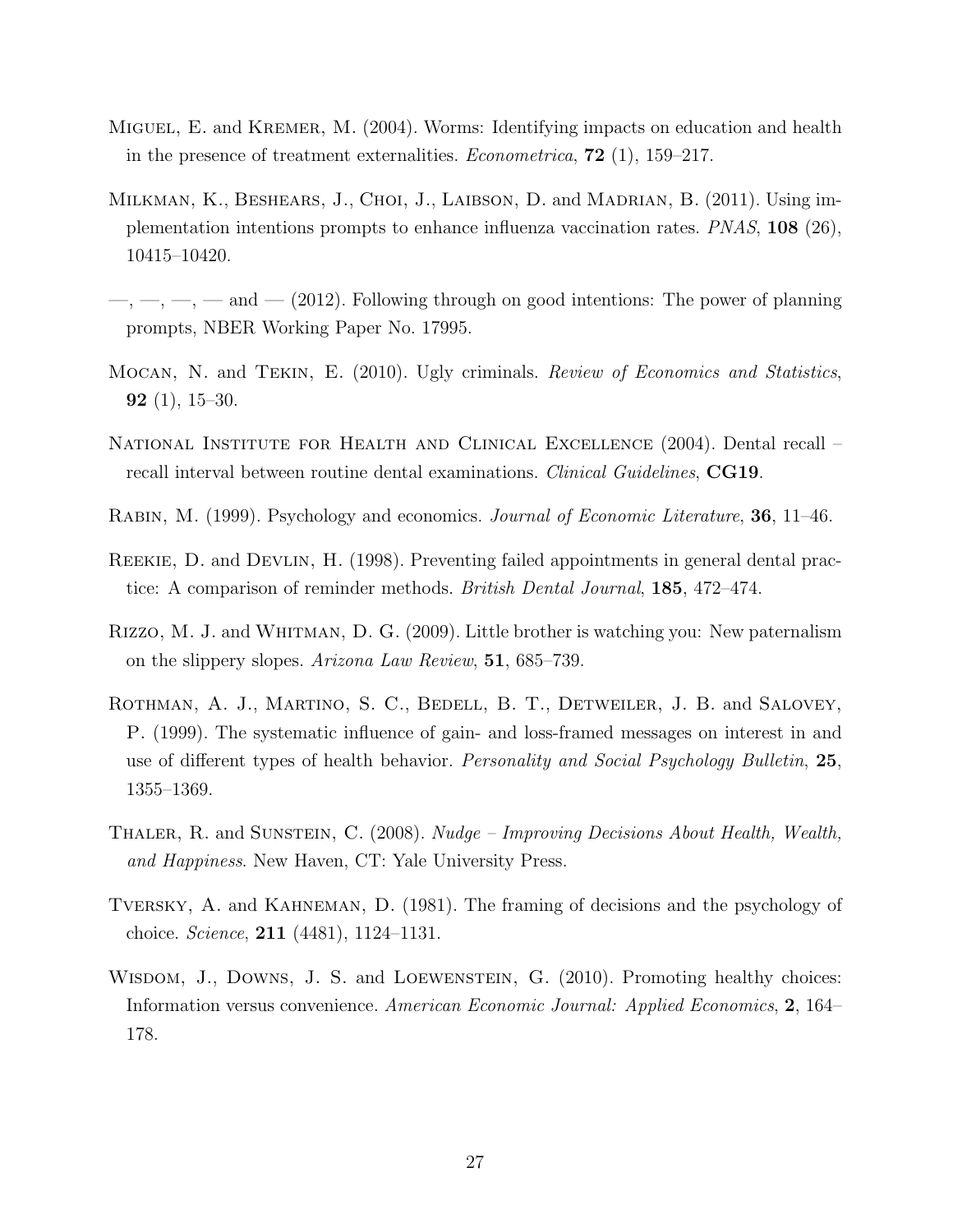- Miguel, E. and Kremer, M. (2004). Worms: Identifying impacts on education and health in the presence of treatment externalities. *Econometrica*, **72** (1), 159–217.
- Milkman, K., Beshears, J., Choi, J., Laibson, D. and Madrian, B. (2011). Using implementation intentions prompts to enhance influenza vaccination rates. *PNAS*, **108** (26), 10415–10420.
- $\ldots$ ,  $\ldots$ ,  $\ldots$  and  $\ldots$  (2012). Following through on good intentions: The power of planning prompts, NBER Working Paper No. 17995.
- Mocan, N. and Tekin, E. (2010). Ugly criminals. *Review of Economics and Statistics*, **92** (1), 15–30.
- National Institute for Health and Clinical Excellence (2004). Dental recall recall interval between routine dental examinations. *Clinical Guidelines*, **CG19**.
- Rabin, M. (1999). Psychology and economics. *Journal of Economic Literature*, **36**, 11–46.
- Reekie, D. and Devlin, H. (1998). Preventing failed appointments in general dental practice: A comparison of reminder methods. *British Dental Journal*, **185**, 472–474.
- Rizzo, M. J. and Whitman, D. G. (2009). Little brother is watching you: New paternalism on the slippery slopes. *Arizona Law Review*, **51**, 685–739.
- ROTHMAN, A. J., MARTINO, S. C., BEDELL, B. T., DETWEILER, J. B. and SALOVEY, P. (1999). The systematic influence of gain- and loss-framed messages on interest in and use of different types of health behavior. *Personality and Social Psychology Bulletin*, **25**, 1355–1369.
- Thaler, R. and Sunstein, C. (2008). *Nudge Improving Decisions About Health, Wealth, and Happiness*. New Haven, CT: Yale University Press.
- Tversky, A. and Kahneman, D. (1981). The framing of decisions and the psychology of choice. *Science*, **211** (4481), 1124–1131.
- WISDOM, J., DOWNS, J. S. and LOEWENSTEIN, G. (2010). Promoting healthy choices: Information versus convenience. *American Economic Journal: Applied Economics*, **2**, 164– 178.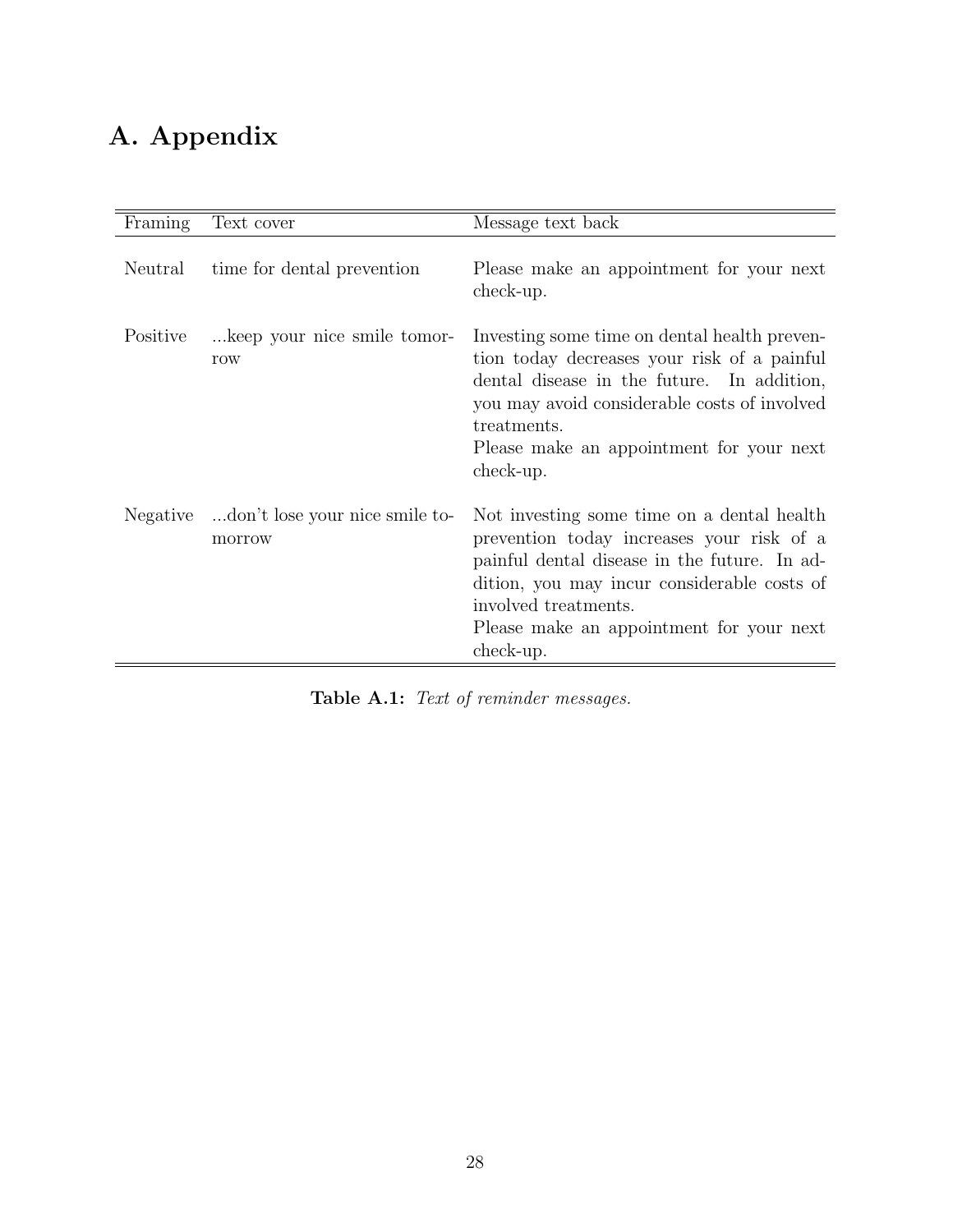# **A. Appendix**

| Framing  | Text cover                               | Message text back                                                                                                                                                                                                                                                       |
|----------|------------------------------------------|-------------------------------------------------------------------------------------------------------------------------------------------------------------------------------------------------------------------------------------------------------------------------|
| Neutral  | time for dental prevention               | Please make an appointment for your next<br>check-up.                                                                                                                                                                                                                   |
| Positive | keep your nice smile tomor-<br>row       | Investing some time on dental health preven-<br>tion today decreases your risk of a painful<br>dental disease in the future. In addition,<br>you may avoid considerable costs of involved<br>treatments.<br>Please make an appointment for your next<br>check-up.       |
| Negative | don't lose your nice smile to-<br>morrow | Not investing some time on a dental health<br>prevention today increases your risk of a<br>painful dental disease in the future. In ad-<br>dition, you may incur considerable costs of<br>involved treatments.<br>Please make an appointment for your next<br>check-up. |

**Table A.1:** *Text of reminder messages.*